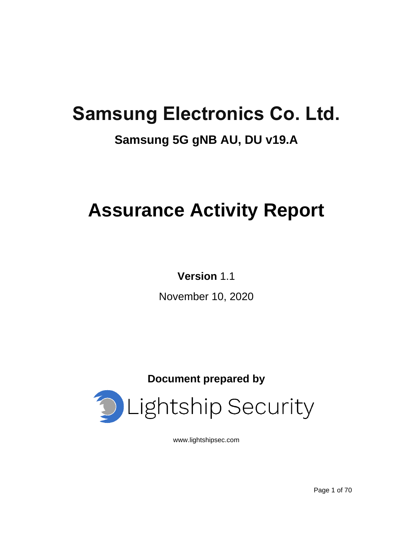# **Samsung Electronics Co. Ltd.**

## **Samsung 5G gNB AU, DU v19.A**

# **Assurance Activity Report**

## **Version** 1.1

November 10, 2020

**Document prepared by**



[www.lightshipsec.com](http://www.lightshipsec.com/)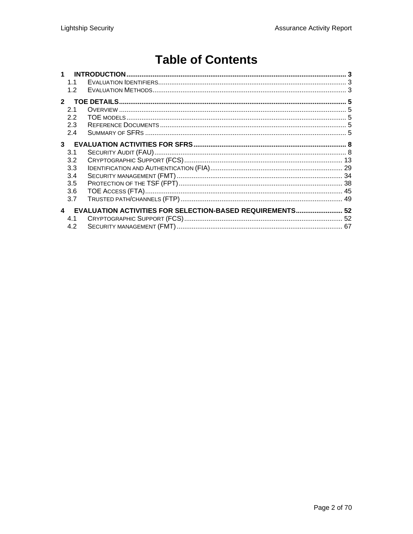## **Table of Contents**

|                  | 1.1 |                                                                  |  |
|------------------|-----|------------------------------------------------------------------|--|
|                  | 1.2 |                                                                  |  |
| $\mathbf{p}$     |     |                                                                  |  |
|                  | 2.1 |                                                                  |  |
|                  | 2.2 |                                                                  |  |
|                  | 2.3 |                                                                  |  |
|                  | 2.4 |                                                                  |  |
| 3 <sup>1</sup>   |     |                                                                  |  |
|                  | 3.1 |                                                                  |  |
|                  | 3.2 |                                                                  |  |
|                  | 3.3 |                                                                  |  |
|                  | 3.4 |                                                                  |  |
|                  | 3.5 |                                                                  |  |
|                  | 3.6 |                                                                  |  |
|                  | 3.7 |                                                                  |  |
| $\blacktriangle$ |     | <b>EVALUATION ACTIVITIES FOR SELECTION-BASED REQUIREMENTS 52</b> |  |
|                  | 4.1 |                                                                  |  |
|                  | 4.2 |                                                                  |  |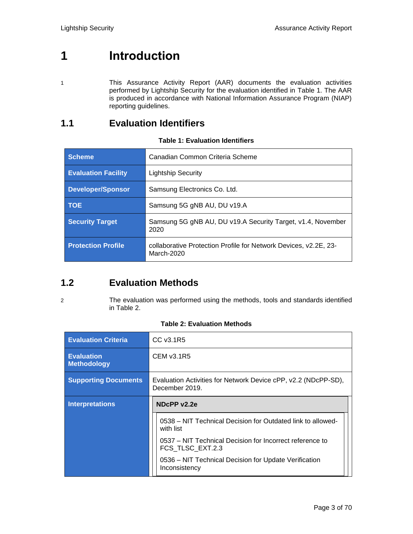## <span id="page-2-0"></span>**1 Introduction**

- 
- 1 This Assurance Activity Report (AAR) documents the evaluation activities performed by Lightship Security for the evaluation identified in [Table 1.](#page-2-3) The AAR is produced in accordance with National Information Assurance Program (NIAP) reporting guidelines.

## <span id="page-2-1"></span>**1.1 Evaluation Identifiers**

<span id="page-2-3"></span>

| <b>Scheme</b>              | Canadian Common Criteria Scheme                                                |
|----------------------------|--------------------------------------------------------------------------------|
| <b>Evaluation Facility</b> | <b>Lightship Security</b>                                                      |
| <b>Developer/Sponsor</b>   | Samsung Electronics Co. Ltd.                                                   |
| <b>TOE</b>                 | Samsung 5G gNB AU, DU v19.A                                                    |
| <b>Security Target</b>     | Samsung 5G gNB AU, DU v19.A Security Target, v1.4, November<br>2020            |
| <b>Protection Profile</b>  | collaborative Protection Profile for Network Devices, v2.2E, 23-<br>March-2020 |

## **Table 1: Evaluation Identifiers**

## <span id="page-2-2"></span>**1.2 Evaluation Methods**

#### 2 The evaluation was performed using the methods, tools and standards identified in [Table 2.](#page-2-4)

<span id="page-2-4"></span>

| <b>Evaluation Criteria</b>              | CC v3.1R5                                                                        |  |
|-----------------------------------------|----------------------------------------------------------------------------------|--|
| <b>Evaluation</b><br><b>Methodology</b> | CEM v3.1R5                                                                       |  |
| <b>Supporting Documents</b>             | Evaluation Activities for Network Device cPP, v2.2 (NDcPP-SD),<br>December 2019. |  |
| <b>Interpretations</b>                  | NDcPP v2.2e                                                                      |  |
|                                         | 0538 – NIT Technical Decision for Outdated link to allowed-<br>with list         |  |
|                                         | 0537 – NIT Technical Decision for Incorrect reference to<br>FCS TLSC EXT.2.3     |  |
|                                         | 0536 – NIT Technical Decision for Update Verification<br>Inconsistency           |  |

#### **Table 2: Evaluation Methods**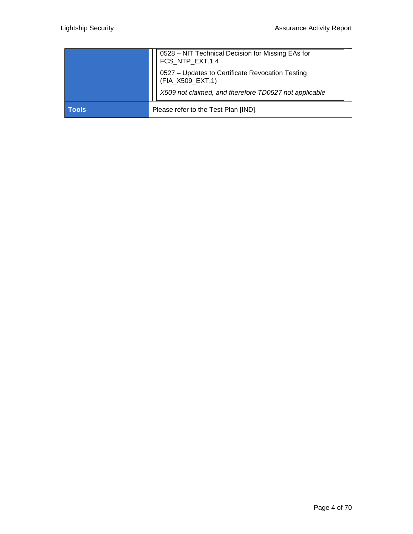|              | 0528 - NIT Technical Decision for Missing EAs for<br>FCS_NTP_EXT.1.4 |
|--------------|----------------------------------------------------------------------|
|              | 0527 - Updates to Certificate Revocation Testing<br>(FIA_X509_EXT.1) |
|              | X509 not claimed, and therefore TD0527 not applicable                |
| <b>Tools</b> | Please refer to the Test Plan [IND].                                 |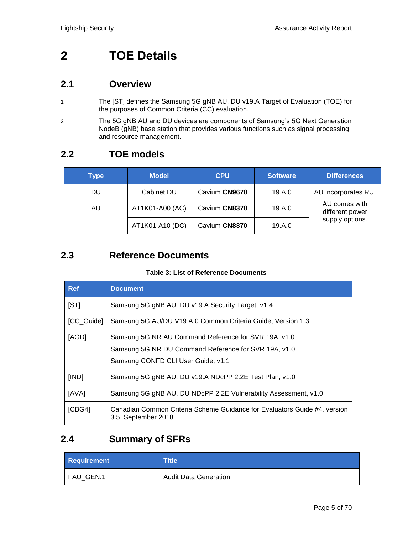## <span id="page-4-0"></span>**2 TOE Details**

## <span id="page-4-1"></span>**2.1 Overview**

- 1 The [ST] defines the Samsung 5G gNB AU, DU v19.A Target of Evaluation (TOE) for the purposes of Common Criteria (CC) evaluation.
- 2 The 5G gNB AU and DU devices are components of Samsung's 5G Next Generation NodeB (gNB) base station that provides various functions such as signal processing and resource management.

## <span id="page-4-2"></span>**2.2 TOE models**

| <b>Type</b> | <b>Model</b>    | <b>CPU</b>    | <b>Software</b> | <b>Differences</b>               |
|-------------|-----------------|---------------|-----------------|----------------------------------|
| DU          | Cabinet DU      | Cavium CN9670 | 19.A.0          | AU incorporates RU.              |
| AU.         | AT1K01-A00 (AC) | Cavium CN8370 | 19.A.0          | AU comes with<br>different power |
|             | AT1K01-A10 (DC) | Cavium CN8370 | 19.A.0          | supply options.                  |

## <span id="page-4-3"></span>**2.3 Reference Documents**

## **Table 3: List of Reference Documents**

| <b>Ref</b> | <b>Document</b>                                                                                                                                    |
|------------|----------------------------------------------------------------------------------------------------------------------------------------------------|
| [ST]       | Samsung 5G gNB AU, DU v19.A Security Target, v1.4                                                                                                  |
| [CC_Guide] | Samsung 5G AU/DU V19.A.0 Common Criteria Guide, Version 1.3                                                                                        |
| [AGD]      | Samsung 5G NR AU Command Reference for SVR 19A, v1.0<br>Samsung 5G NR DU Command Reference for SVR 19A, v1.0<br>Samsung CONFD CLI User Guide, v1.1 |
| [IND]      | Samsung 5G gNB AU, DU v19.A NDcPP 2.2E Test Plan, v1.0                                                                                             |
| [AVA]      | Samsung 5G gNB AU, DU NDcPP 2.2E Vulnerability Assessment, v1.0                                                                                    |
| [CBG4]     | Canadian Common Criteria Scheme Guidance for Evaluators Guide #4, version<br>3.5, September 2018                                                   |

## <span id="page-4-4"></span>**2.4 Summary of SFRs**

| <b>Requirement</b> | Title                        |
|--------------------|------------------------------|
| FAU GEN.1          | <b>Audit Data Generation</b> |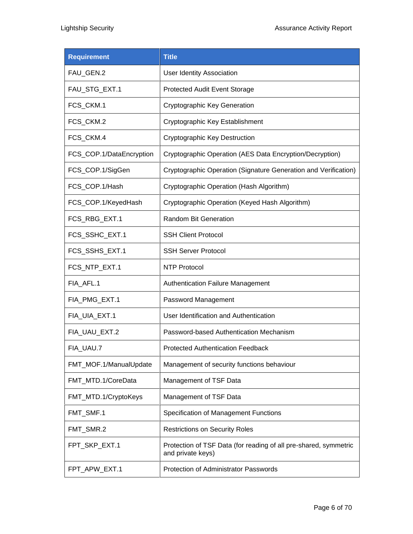| <b>Requirement</b>       | <b>Title</b>                                                                          |
|--------------------------|---------------------------------------------------------------------------------------|
| FAU_GEN.2                | <b>User Identity Association</b>                                                      |
| FAU_STG_EXT.1            | Protected Audit Event Storage                                                         |
| FCS_CKM.1                | <b>Cryptographic Key Generation</b>                                                   |
| FCS_CKM.2                | Cryptographic Key Establishment                                                       |
| FCS CKM.4                | <b>Cryptographic Key Destruction</b>                                                  |
| FCS_COP.1/DataEncryption | Cryptographic Operation (AES Data Encryption/Decryption)                              |
| FCS_COP.1/SigGen         | Cryptographic Operation (Signature Generation and Verification)                       |
| FCS_COP.1/Hash           | Cryptographic Operation (Hash Algorithm)                                              |
| FCS_COP.1/KeyedHash      | Cryptographic Operation (Keyed Hash Algorithm)                                        |
| FCS_RBG_EXT.1            | Random Bit Generation                                                                 |
| FCS_SSHC_EXT.1           | <b>SSH Client Protocol</b>                                                            |
| FCS_SSHS_EXT.1           | <b>SSH Server Protocol</b>                                                            |
| FCS_NTP_EXT.1            | <b>NTP Protocol</b>                                                                   |
| FIA_AFL.1                | <b>Authentication Failure Management</b>                                              |
| FIA_PMG_EXT.1            | Password Management                                                                   |
| FIA_UIA_EXT.1            | User Identification and Authentication                                                |
| FIA_UAU_EXT.2            | Password-based Authentication Mechanism                                               |
| FIA_UAU.7                | Protected Authentication Feedback                                                     |
| FMT_MOF.1/ManualUpdate   | Management of security functions behaviour                                            |
| FMT_MTD.1/CoreData       | Management of TSF Data                                                                |
| FMT_MTD.1/CryptoKeys     | Management of TSF Data                                                                |
| FMT_SMF.1                | Specification of Management Functions                                                 |
| FMT_SMR.2                | <b>Restrictions on Security Roles</b>                                                 |
| FPT_SKP_EXT.1            | Protection of TSF Data (for reading of all pre-shared, symmetric<br>and private keys) |
| FPT_APW_EXT.1            | Protection of Administrator Passwords                                                 |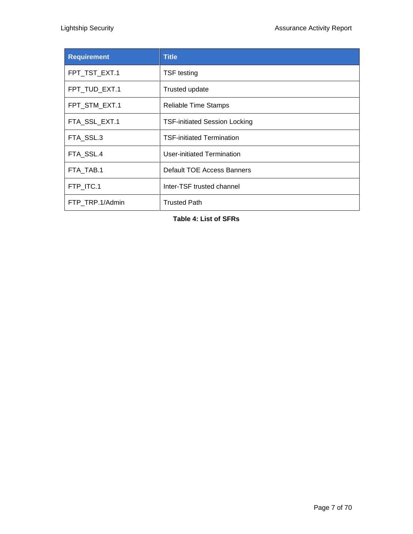| <b>Requirement</b> | <b>Title</b>                         |
|--------------------|--------------------------------------|
| FPT_TST_EXT.1      | <b>TSF</b> testing                   |
| FPT_TUD_EXT.1      | Trusted update                       |
| FPT_STM_EXT.1      | <b>Reliable Time Stamps</b>          |
| FTA_SSL_EXT.1      | <b>TSF-initiated Session Locking</b> |
| FTA_SSL.3          | <b>TSF-initiated Termination</b>     |
| FTA SSL.4          | User-initiated Termination           |
| FTA TAB.1          | Default TOE Access Banners           |
| FTP_ITC.1          | Inter-TSF trusted channel            |
| FTP TRP.1/Admin    | <b>Trusted Path</b>                  |

**Table 4: List of SFRs**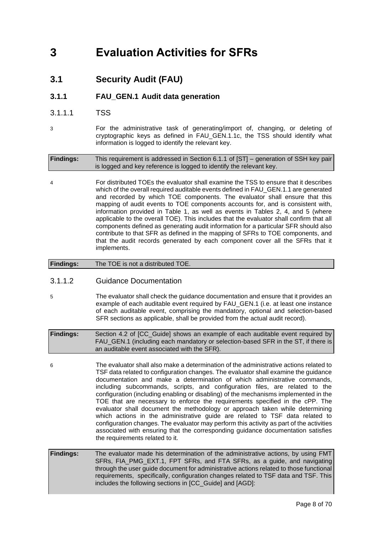## <span id="page-7-1"></span><span id="page-7-0"></span>**3 Evaluation Activities for SFRs**

**3.1 Security Audit (FAU)**

## **3.1.1 FAU\_GEN.1 Audit data generation**

- 3.1.1.1 TSS
- 3 For the administrative task of generating/import of, changing, or deleting of cryptographic keys as defined in FAU\_GEN.1.1c, the TSS should identify what information is logged to identify the relevant key.

**Findings:** This requirement is addressed in Section 6.1.1 of [ST] – generation of SSH key pair is logged and key reference is logged to identify the relevant key.

4 For distributed TOEs the evaluator shall examine the TSS to ensure that it describes which of the overall required auditable events defined in FAU\_GEN.1.1 are generated and recorded by which TOE components. The evaluator shall ensure that this mapping of audit events to TOE components accounts for, and is consistent with, information provided in Table 1, as well as events in Tables 2, 4, and 5 (where applicable to the overall TOE). This includes that the evaluator shall confirm that all components defined as generating audit information for a particular SFR should also contribute to that SFR as defined in the mapping of SFRs to TOE components, and that the audit records generated by each component cover all the SFRs that it implements.

## **Findings:** The TOE is not a distributed TOE.

## 3.1.1.2 Guidance Documentation

5 The evaluator shall check the guidance documentation and ensure that it provides an example of each auditable event required by FAU\_GEN.1 (i.e. at least one instance of each auditable event, comprising the mandatory, optional and selection-based SFR sections as applicable, shall be provided from the actual audit record).

**Findings:** Section 4.2 of [CC\_Guide] shows an example of each auditable event required by FAU GEN.1 (including each mandatory or selection-based SFR in the ST, if there is an auditable event associated with the SFR).

6 The evaluator shall also make a determination of the administrative actions related to TSF data related to configuration changes. The evaluator shall examine the guidance documentation and make a determination of which administrative commands, including subcommands, scripts, and configuration files, are related to the configuration (including enabling or disabling) of the mechanisms implemented in the TOE that are necessary to enforce the requirements specified in the cPP. The evaluator shall document the methodology or approach taken while determining which actions in the administrative guide are related to TSF data related to configuration changes. The evaluator may perform this activity as part of the activities associated with ensuring that the corresponding guidance documentation satisfies the requirements related to it.

**Findings:** The evaluator made his determination of the administrative actions, by using FMT SFRs, FIA\_PMG\_EXT.1, FPT SFRs, and FTA SFRs, as a guide, and navigating through the user guide document for administrative actions related to those functional requirements, specifically, configuration changes related to TSF data and TSF. This includes the following sections in [CC\_Guide] and [AGD]: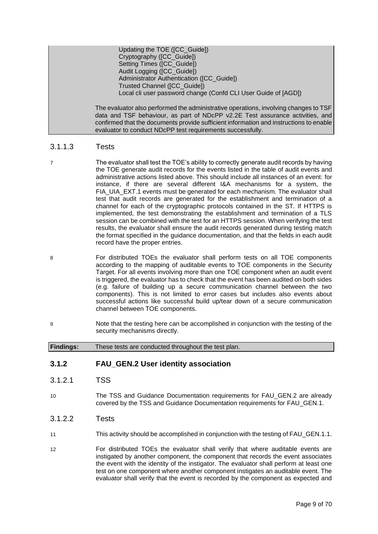| Updating the TOE ([CC_Guide])                                                          |
|----------------------------------------------------------------------------------------|
| Cryptography ([CC_Guide])                                                              |
| Setting Times ([CC_Guide])                                                             |
| Audit Logging ([CC_Guide])                                                             |
| Administrator Authentication ([CC Guide])                                              |
| Trusted Channel ([CC Guide])                                                           |
| Local cli user password change (Confd CLI User Guide of [AGD])                         |
|                                                                                        |
| The evaluator also performed the administrative operations, involving changes to TSF   |
| data and TSF behaviour, as part of NDcPP v2.2E Test assurance activities, and          |
| confirmed that the documents provide sufficient information and instructions to enable |

evaluator to conduct NDcPP test requirements successfully.

## 3.1.1.3 Tests

- 7 The evaluator shall test the TOE's ability to correctly generate audit records by having the TOE generate audit records for the events listed in the table of audit events and administrative actions listed above. This should include all instances of an event: for instance, if there are several different I&A mechanisms for a system, the FIA\_UIA\_EXT.1 events must be generated for each mechanism. The evaluator shall test that audit records are generated for the establishment and termination of a channel for each of the cryptographic protocols contained in the ST. If HTTPS is implemented, the test demonstrating the establishment and termination of a TLS session can be combined with the test for an HTTPS session. When verifying the test results, the evaluator shall ensure the audit records generated during testing match the format specified in the guidance documentation, and that the fields in each audit record have the proper entries.
- 8 For distributed TOEs the evaluator shall perform tests on all TOE components according to the mapping of auditable events to TOE components in the Security Target. For all events involving more than one TOE component when an audit event is triggered, the evaluator has to check that the event has been audited on both sides (e.g. failure of building up a secure communication channel between the two components). This is not limited to error cases but includes also events about successful actions like successful build up/tear down of a secure communication channel between TOE components.
- 9 Note that the testing here can be accomplished in conjunction with the testing of the security mechanisms directly.

**Findings:** These tests are conducted throughout the test plan.

## **3.1.2 FAU\_GEN.2 User identity association**

- 3.1.2.1 TSS
- 10 The TSS and Guidance Documentation requirements for FAU\_GEN.2 are already covered by the TSS and Guidance Documentation requirements for FAU\_GEN.1.
- 3.1.2.2 Tests
- 11 This activity should be accomplished in conjunction with the testing of FAU\_GEN.1.1.
- 12 For distributed TOEs the evaluator shall verify that where auditable events are instigated by another component, the component that records the event associates the event with the identity of the instigator. The evaluator shall perform at least one test on one component where another component instigates an auditable event. The evaluator shall verify that the event is recorded by the component as expected and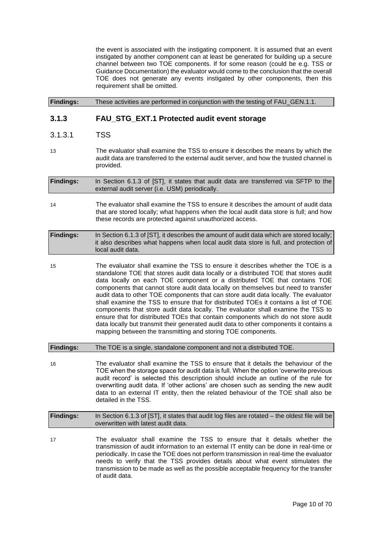the event is associated with the instigating component. It is assumed that an event instigated by another component can at least be generated for building up a secure channel between two TOE components. If for some reason (could be e.g. TSS or Guidance Documentation) the evaluator would come to the conclusion that the overall TOE does not generate any events instigated by other components, then this requirement shall be omitted.

**Findings:** These activities are performed in conjunction with the testing of FAU\_GEN.1.1.

## **3.1.3 FAU\_STG\_EXT.1 Protected audit event storage**

- 3.1.3.1 TSS
- 13 The evaluator shall examine the TSS to ensure it describes the means by which the audit data are transferred to the external audit server, and how the trusted channel is provided.

**Findings:** In Section 6.1.3 of [ST], it states that audit data are transferred via SFTP to the external audit server (i.e. USM) periodically.

14 The evaluator shall examine the TSS to ensure it describes the amount of audit data that are stored locally; what happens when the local audit data store is full; and how these records are protected against unauthorized access.

| <b>Findings:</b> | In Section 6.1.3 of [ST], it describes the amount of audit data which are stored locally; |
|------------------|-------------------------------------------------------------------------------------------|
|                  | it also describes what happens when local audit data store is full, and protection of     |
|                  | local audit data.                                                                         |

15 The evaluator shall examine the TSS to ensure it describes whether the TOE is a standalone TOE that stores audit data locally or a distributed TOE that stores audit data locally on each TOE component or a distributed TOE that contains TOE components that cannot store audit data locally on themselves but need to transfer audit data to other TOE components that can store audit data locally. The evaluator shall examine the TSS to ensure that for distributed TOEs it contains a list of TOE components that store audit data locally. The evaluator shall examine the TSS to ensure that for distributed TOEs that contain components which do not store audit data locally but transmit their generated audit data to other components it contains a mapping between the transmitting and storing TOE components.

**Findings:** The TOE is a single, standalone component and not a distributed TOE.

16 The evaluator shall examine the TSS to ensure that it details the behaviour of the TOE when the storage space for audit data is full. When the option 'overwrite previous audit record' is selected this description should include an outline of the rule for overwriting audit data. If 'other actions' are chosen such as sending the new audit data to an external IT entity, then the related behaviour of the TOE shall also be detailed in the TSS.

| <b>Findings:</b> | In Section 6.1.3 of [ST], it states that audit log files are rotated – the oldest file will be<br>overwritten with latest audit data. |
|------------------|---------------------------------------------------------------------------------------------------------------------------------------|
|                  |                                                                                                                                       |

17 The evaluator shall examine the TSS to ensure that it details whether the transmission of audit information to an external IT entity can be done in real-time or periodically. In case the TOE does not perform transmission in real-time the evaluator needs to verify that the TSS provides details about what event stimulates the transmission to be made as well as the possible acceptable frequency for the transfer of audit data.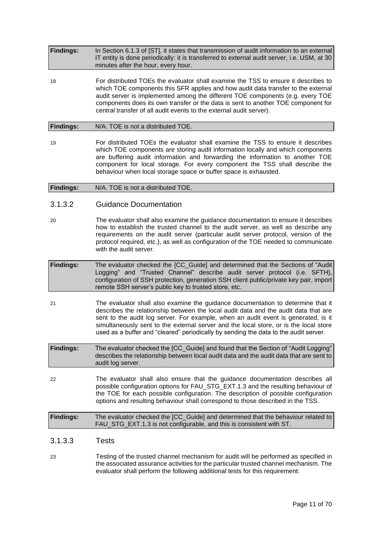| <b>Findings:</b> | In Section 6.1.3 of [ST], it states that transmission of audit information to an external<br>IT entity is done periodically: it is transferred to external audit server, i.e. USM, at 30<br>minutes after the hour, every hour.                                                                                                                                                                                       |
|------------------|-----------------------------------------------------------------------------------------------------------------------------------------------------------------------------------------------------------------------------------------------------------------------------------------------------------------------------------------------------------------------------------------------------------------------|
| 18               | For distributed TOEs the evaluator shall examine the TSS to ensure it describes to<br>which TOE components this SFR applies and how audit data transfer to the external<br>audit server is implemented among the different TOE components (e.g. every TOE<br>components does its own transfer or the data is sent to another TOE component for<br>central transfer of all audit events to the external audit server). |
| <b>Findings:</b> | N/A. TOE is not a distributed TOE.                                                                                                                                                                                                                                                                                                                                                                                    |
|                  |                                                                                                                                                                                                                                                                                                                                                                                                                       |

19 For distributed TOEs the evaluator shall examine the TSS to ensure it describes which TOE components are storing audit information locally and which components are buffering audit information and forwarding the information to another TOE component for local storage. For every component the TSS shall describe the behaviour when local storage space or buffer space is exhausted.

**Findings:** N/A. TOE is not a distributed TOE.

#### 3.1.3.2 Guidance Documentation

- 20 The evaluator shall also examine the guidance documentation to ensure it describes how to establish the trusted channel to the audit server, as well as describe any requirements on the audit server (particular audit server protocol, version of the protocol required, etc.), as well as configuration of the TOE needed to communicate with the audit server.
- **Findings:** The evaluator checked the [CC\_Guide] and determined that the Sections of "Audit Logging" and "Trusted Channel" describe audit server protocol (i.e. SFTH), configuration of SSH protection, generation SSH client public/private key pair, import remote SSH server's public key to trusted store, etc.
- 21 The evaluator shall also examine the guidance documentation to determine that it describes the relationship between the local audit data and the audit data that are sent to the audit log server. For example, when an audit event is generated, is it simultaneously sent to the external server and the local store, or is the local store used as a buffer and "cleared" periodically by sending the data to the audit server.
- **Findings:** The evaluator checked the [CC\_Guide] and found that the Section of "Audit Logging" describes the relationship between local audit data and the audit data that are sent to audit log server.
- 22 The evaluator shall also ensure that the guidance documentation describes all possible configuration options for FAU\_STG\_EXT.1.3 and the resulting behaviour of the TOE for each possible configuration. The description of possible configuration options and resulting behaviour shall correspond to those described in the TSS.

| <b>Findings:</b> | The evaluator checked the [CC_Guide] and determined that the behaviour related to |  |  |
|------------------|-----------------------------------------------------------------------------------|--|--|
|                  | FAU_STG_EXT.1.3 is not configurable, and this is consistent with ST.              |  |  |

- 3.1.3.3 Tests
- 23 Testing of the trusted channel mechanism for audit will be performed as specified in the associated assurance activities for the particular trusted channel mechanism. The evaluator shall perform the following additional tests for this requirement: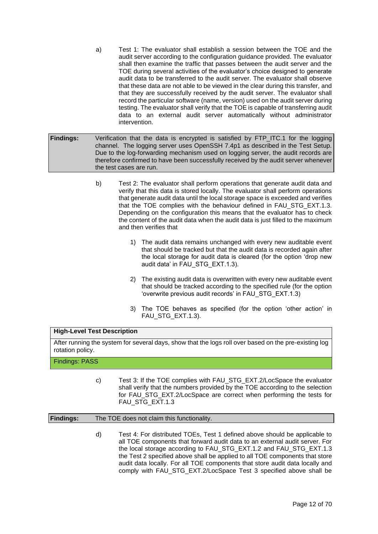- a) Test 1: The evaluator shall establish a session between the TOE and the audit server according to the configuration guidance provided. The evaluator shall then examine the traffic that passes between the audit server and the TOE during several activities of the evaluator's choice designed to generate audit data to be transferred to the audit server. The evaluator shall observe that these data are not able to be viewed in the clear during this transfer, and that they are successfully received by the audit server. The evaluator shall record the particular software (name, version) used on the audit server during testing. The evaluator shall verify that the TOE is capable of transferring audit data to an external audit server automatically without administrator intervention.
- **Findings:** Verification that the data is encrypted is satisfied by FTP ITC.1 for the logging channel. The logging server uses OpenSSH 7.4p1 as described in the Test Setup. Due to the log-forwarding mechanism used on logging server, the audit records are therefore confirmed to have been successfully received by the audit server whenever the test cases are run.
	- b) Test 2: The evaluator shall perform operations that generate audit data and verify that this data is stored locally. The evaluator shall perform operations that generate audit data until the local storage space is exceeded and verifies that the TOE complies with the behaviour defined in FAU\_STG\_EXT.1.3. Depending on the configuration this means that the evaluator has to check the content of the audit data when the audit data is just filled to the maximum and then verifies that
		- 1) The audit data remains unchanged with every new auditable event that should be tracked but that the audit data is recorded again after the local storage for audit data is cleared (for the option 'drop new audit data' in FAU\_STG\_EXT.1.3).
		- 2) The existing audit data is overwritten with every new auditable event that should be tracked according to the specified rule (for the option 'overwrite previous audit records' in FAU\_STG\_EXT.1.3)
		- 3) The TOE behaves as specified (for the option 'other action' in FAU\_STG\_EXT.1.3).

#### **High-Level Test Description**

After running the system for several days, show that the logs roll over based on the pre-existing log rotation policy.

#### Findings: PASS

c) Test 3: If the TOE complies with FAU\_STG\_EXT.2/LocSpace the evaluator shall verify that the numbers provided by the TOE according to the selection for FAU\_STG\_EXT.2/LocSpace are correct when performing the tests for FAU\_STG\_EXT.1.3

#### **Findings:** The TOE does not claim this functionality.

d) Test 4: For distributed TOEs, Test 1 defined above should be applicable to all TOE components that forward audit data to an external audit server. For the local storage according to FAU\_STG\_EXT.1.2 and FAU\_STG\_EXT.1.3 the Test 2 specified above shall be applied to all TOE components that store audit data locally. For all TOE components that store audit data locally and comply with FAU\_STG\_EXT.2/LocSpace Test 3 specified above shall be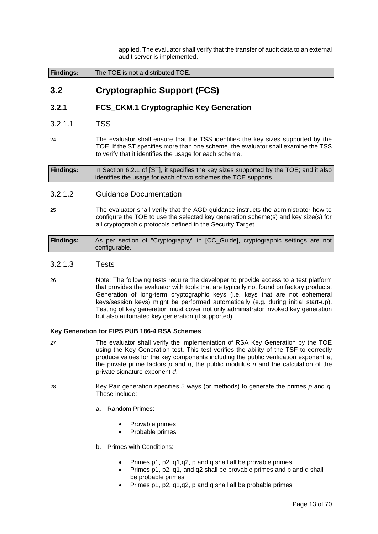applied. The evaluator shall verify that the transfer of audit data to an external audit server is implemented.

<span id="page-12-0"></span>

| <b>Findings:</b> | The TOE is not a distributed TOE. |
|------------------|-----------------------------------|
|                  |                                   |

## **3.2 Cryptographic Support (FCS)**

## **3.2.1 FCS\_CKM.1 Cryptographic Key Generation**

- 3.2.1.1 TSS
- 24 The evaluator shall ensure that the TSS identifies the key sizes supported by the TOE. If the ST specifies more than one scheme, the evaluator shall examine the TSS to verify that it identifies the usage for each scheme.

**Findings:** In Section 6.2.1 of [ST], it specifies the key sizes supported by the TOE; and it also identifies the usage for each of two schemes the TOE supports.

## 3.2.1.2 Guidance Documentation

25 The evaluator shall verify that the AGD guidance instructs the administrator how to configure the TOE to use the selected key generation scheme(s) and key size(s) for all cryptographic protocols defined in the Security Target.

**Findings:** As per section of "Cryptography" in [CC\_Guide], cryptographic settings are not configurable.

- 3.2.1.3 Tests
- 26 Note: The following tests require the developer to provide access to a test platform that provides the evaluator with tools that are typically not found on factory products. Generation of long-term cryptographic keys (i.e. keys that are not ephemeral keys/session keys) might be performed automatically (e.g. during initial start-up). Testing of key generation must cover not only administrator invoked key generation but also automated key generation (if supported).

#### **Key Generation for FIPS PUB 186-4 RSA Schemes**

- 27 The evaluator shall verify the implementation of RSA Key Generation by the TOE using the Key Generation test. This test verifies the ability of the TSF to correctly produce values for the key components including the public verification exponent *e*, the private prime factors *p* and *q*, the public modulus *n* and the calculation of the private signature exponent *d*.
- 28 Key Pair generation specifies 5 ways (or methods) to generate the primes *p* and *q*. These include:
	- a. Random Primes:
		- Provable primes
		- Probable primes
	- b. Primes with Conditions:
		- Primes p1, p2, q1,q2, p and q shall all be provable primes
		- Primes p1, p2, q1, and q2 shall be provable primes and p and q shall be probable primes
		- Primes p1, p2, q1,q2, p and q shall all be probable primes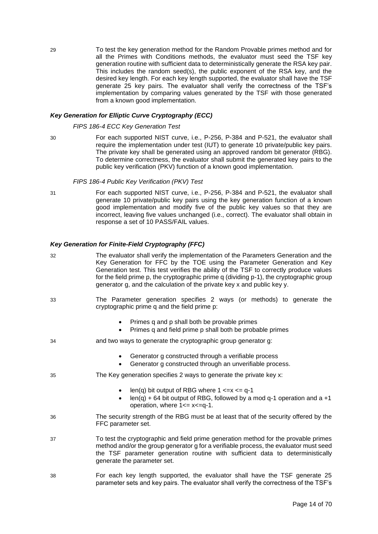29 To test the key generation method for the Random Provable primes method and for all the Primes with Conditions methods, the evaluator must seed the TSF key generation routine with sufficient data to deterministically generate the RSA key pair. This includes the random seed(s), the public exponent of the RSA key, and the desired key length. For each key length supported, the evaluator shall have the TSF generate 25 key pairs. The evaluator shall verify the correctness of the TSF's implementation by comparing values generated by the TSF with those generated from a known good implementation.

#### *Key Generation for Elliptic Curve Cryptography (ECC)*

#### *FIPS 186-4 ECC Key Generation Test*

30 For each supported NIST curve, i.e., P-256, P-384 and P-521, the evaluator shall require the implementation under test (IUT) to generate 10 private/public key pairs. The private key shall be generated using an approved random bit generator (RBG). To determine correctness, the evaluator shall submit the generated key pairs to the public key verification (PKV) function of a known good implementation.

#### *FIPS 186-4 Public Key Verification (PKV) Test*

31 For each supported NIST curve, i.e., P-256, P-384 and P-521, the evaluator shall generate 10 private/public key pairs using the key generation function of a known good implementation and modify five of the public key values so that they are incorrect, leaving five values unchanged (i.e., correct). The evaluator shall obtain in response a set of 10 PASS/FAIL values.

#### *Key Generation for Finite-Field Cryptography (FFC)*

| 32 | The evaluator shall verify the implementation of the Parameters Generation and the<br>Key Generation for FFC by the TOE using the Parameter Generation and Key<br>Generation test. This test verifies the ability of the TSF to correctly produce values<br>for the field prime p, the cryptographic prime q (dividing p-1), the cryptographic group<br>generator g, and the calculation of the private key x and public key y. |  |
|----|---------------------------------------------------------------------------------------------------------------------------------------------------------------------------------------------------------------------------------------------------------------------------------------------------------------------------------------------------------------------------------------------------------------------------------|--|
| 33 | The Parameter generation specifies 2 ways (or methods) to generate the<br>cryptographic prime q and the field prime p:                                                                                                                                                                                                                                                                                                          |  |
|    | Primes q and p shall both be provable primes<br>Primes q and field prime p shall both be probable primes                                                                                                                                                                                                                                                                                                                        |  |
| 34 | and two ways to generate the cryptographic group generator g:                                                                                                                                                                                                                                                                                                                                                                   |  |
|    | Generator g constructed through a verifiable process<br>$\bullet$<br>Generator g constructed through an unverifiable process.<br>$\bullet$                                                                                                                                                                                                                                                                                      |  |
| 35 | The Key generation specifies 2 ways to generate the private key x:                                                                                                                                                                                                                                                                                                                                                              |  |
|    | len(q) bit output of RBG where $1 \le x \le q-1$<br>$\bullet$<br>$len(q) + 64$ bit output of RBG, followed by a mod q-1 operation and a +1<br>operation, where $1 \le x \le -q-1$ .                                                                                                                                                                                                                                             |  |
| 36 | The security strength of the RBG must be at least that of the security offered by the<br>FFC parameter set.                                                                                                                                                                                                                                                                                                                     |  |
| 37 | To test the cryptographic and field prime generation method for the provable primes<br>method and/or the group generator g for a verifiable process, the evaluator must seed<br>the TSF parameter generation routine with sufficient data to deterministically<br>generate the parameter set.                                                                                                                                   |  |
| 38 | For each key length supported, the evaluator shall have the TSF generate 25<br>parameter sets and key pairs. The evaluator shall verify the correctness of the TSF's                                                                                                                                                                                                                                                            |  |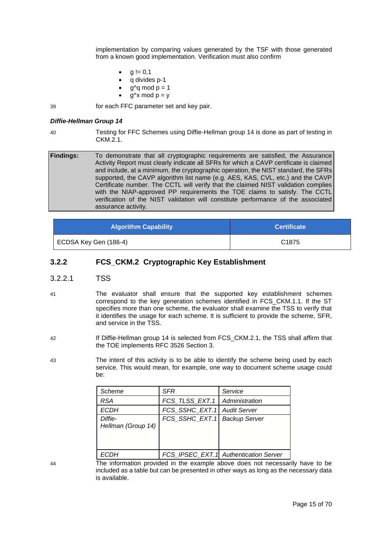implementation by comparing values generated by the TSF with those generated from a known good implementation. Verification must also confirm

- $g := 0,1$
- q divides p-1
- $q$ <sup> $\alpha$ </sup>q mod  $p = 1$
- $q^x$ x mod  $p = v$

39 for each FFC parameter set and key pair.

#### *Diffie-Hellman Group 14*

40 Testing for FFC Schemes using Diffie-Hellman group 14 is done as part of testing in  $CKM<sub>21</sub>$ 

**Findings:** To demonstrate that all cryptographic requirements are satisfied, the Assurance Activity Report must clearly indicate all SFRs for which a CAVP certificate is claimed and include, at a minimum, the cryptographic operation, the NIST standard, the SFRs supported, the CAVP algorithm list name (e.g. AES, KAS, CVL, etc.) and the CAVP Certificate number. The CCTL will verify that the claimed NIST validation complies with the NIAP-approved PP requirements the TOE claims to satisfy. The CCTL verification of the NIST validation will constitute performance of the associated assurance activity.

| <b>Algorithm Capability</b> | <b>Certificate</b> |
|-----------------------------|--------------------|
| ECDSA Key Gen (186-4)       | C <sub>1875</sub>  |

## **3.2.2 FCS\_CKM.2 Cryptographic Key Establishment**

- 3.2.2.1 TSS
- 41 The evaluator shall ensure that the supported key establishment schemes correspond to the key generation schemes identified in FCS\_CKM.1.1. If the ST specifies more than one scheme, the evaluator shall examine the TSS to verify that it identifies the usage for each scheme. It is sufficient to provide the scheme, SFR, and service in the TSS.
- 42 If Diffie-Hellman group 14 is selected from FCS\_CKM.2.1, the TSS shall affirm that the TOE implements RFC 3526 Section 3.
- 43 The intent of this activity is to be able to identify the scheme being used by each service. This would mean, for example, one way to document scheme usage could be:

| <b>Scheme</b>                 | SFR                             | Service                               |
|-------------------------------|---------------------------------|---------------------------------------|
| <b>RSA</b>                    | FCS TLSS EXT.1   Administration |                                       |
| <b>ECDH</b>                   | FCS SSHC EXT.1 Audit Server     |                                       |
| Diffie-<br>Hellman (Group 14) | FCS_SSHC_EXT.1 Backup Server    |                                       |
|                               |                                 | FCS_IPSEC_EXT.1 Authentication Server |

44 The information provided in the example above does not necessarily have to be included as a table but can be presented in other ways as long as the necessary data is available.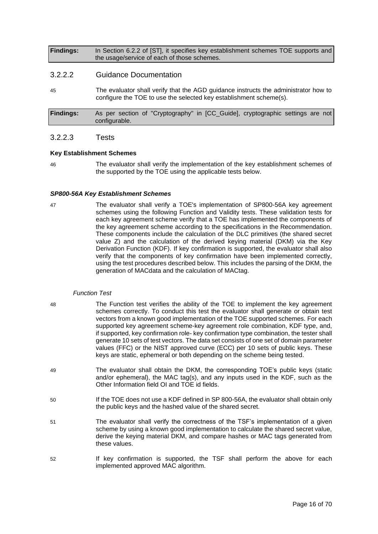**Findings:** In Section 6.2.2 of [ST], it specifies key establishment schemes TOE supports and the usage/service of each of those schemes.

#### 3.2.2.2 Guidance Documentation

45 The evaluator shall verify that the AGD guidance instructs the administrator how to configure the TOE to use the selected key establishment scheme(s).

**Findings:** As per section of "Cryptography" in [CC\_Guide], cryptographic settings are not configurable.

#### 3.2.2.3 Tests

#### **Key Establishment Schemes**

46 The evaluator shall verify the implementation of the key establishment schemes of the supported by the TOE using the applicable tests below.

#### *SP800-56A Key Establishment Schemes*

47 The evaluator shall verify a TOE's implementation of SP800-56A key agreement schemes using the following Function and Validity tests. These validation tests for each key agreement scheme verify that a TOE has implemented the components of the key agreement scheme according to the specifications in the Recommendation. These components include the calculation of the DLC primitives (the shared secret value Z) and the calculation of the derived keying material (DKM) via the Key Derivation Function (KDF). If key confirmation is supported, the evaluator shall also verify that the components of key confirmation have been implemented correctly, using the test procedures described below. This includes the parsing of the DKM, the generation of MACdata and the calculation of MACtag.

#### *Function Test*

- 48 The Function test verifies the ability of the TOE to implement the key agreement schemes correctly. To conduct this test the evaluator shall generate or obtain test vectors from a known good implementation of the TOE supported schemes. For each supported key agreement scheme-key agreement role combination, KDF type, and, if supported, key confirmation role- key confirmation type combination, the tester shall generate 10 sets of test vectors. The data set consists of one set of domain parameter values (FFC) or the NIST approved curve (ECC) per 10 sets of public keys. These keys are static, ephemeral or both depending on the scheme being tested.
- 49 The evaluator shall obtain the DKM, the corresponding TOE's public keys (static and/or ephemeral), the MAC tag(s), and any inputs used in the KDF, such as the Other Information field OI and TOE id fields.
- 50 If the TOE does not use a KDF defined in SP 800-56A, the evaluator shall obtain only the public keys and the hashed value of the shared secret.
- 51 The evaluator shall verify the correctness of the TSF's implementation of a given scheme by using a known good implementation to calculate the shared secret value, derive the keying material DKM, and compare hashes or MAC tags generated from these values.
- 52 If key confirmation is supported, the TSF shall perform the above for each implemented approved MAC algorithm.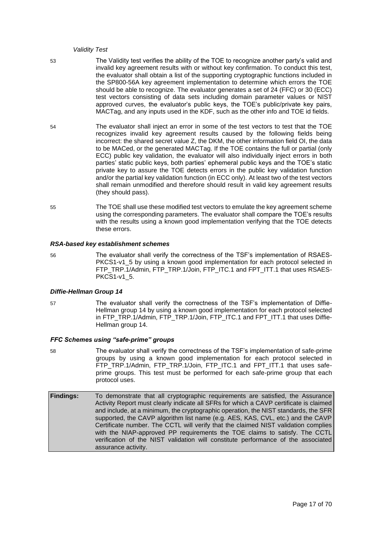#### *Validity Test*

53 The Validity test verifies the ability of the TOE to recognize another party's valid and invalid key agreement results with or without key confirmation. To conduct this test, the evaluator shall obtain a list of the supporting cryptographic functions included in the SP800-56A key agreement implementation to determine which errors the TOE should be able to recognize. The evaluator generates a set of 24 (FFC) or 30 (ECC) test vectors consisting of data sets including domain parameter values or NIST approved curves, the evaluator's public keys, the TOE's public/private key pairs, MACTag, and any inputs used in the KDF, such as the other info and TOE id fields.

- 54 The evaluator shall inject an error in some of the test vectors to test that the TOE recognizes invalid key agreement results caused by the following fields being incorrect: the shared secret value Z, the DKM, the other information field OI, the data to be MACed, or the generated MACTag. If the TOE contains the full or partial (only ECC) public key validation, the evaluator will also individually inject errors in both parties' static public keys, both parties' ephemeral public keys and the TOE's static private key to assure the TOE detects errors in the public key validation function and/or the partial key validation function (in ECC only). At least two of the test vectors shall remain unmodified and therefore should result in valid key agreement results (they should pass).
- 55 The TOE shall use these modified test vectors to emulate the key agreement scheme using the corresponding parameters. The evaluator shall compare the TOE's results with the results using a known good implementation verifying that the TOE detects these errors.

#### *RSA-based key establishment schemes*

56 The evaluator shall verify the correctness of the TSF's implementation of RSAES-PKCS1-v1\_5 by using a known good implementation for each protocol selected in FTP\_TRP.1/Admin, FTP\_TRP.1/Join, FTP\_ITC.1 and FPT\_ITT.1 that uses RSAES-PKCS1-v1\_5.

#### *Diffie-Hellman Group 14*

57 The evaluator shall verify the correctness of the TSF's implementation of Diffie-Hellman group 14 by using a known good implementation for each protocol selected in FTP\_TRP.1/Admin, FTP\_TRP.1/Join, FTP\_ITC.1 and FPT\_ITT.1 that uses Diffie-Hellman group 14.

#### *FFC Schemes using "safe-prime" groups*

- 58 The evaluator shall verify the correctness of the TSF's implementation of safe-prime groups by using a known good implementation for each protocol selected in FTP\_TRP.1/Admin, FTP\_TRP.1/Join, FTP\_ITC.1 and FPT\_ITT.1 that uses safeprime groups. This test must be performed for each safe-prime group that each protocol uses.
- **Findings:** To demonstrate that all cryptographic requirements are satisfied, the Assurance Activity Report must clearly indicate all SFRs for which a CAVP certificate is claimed and include, at a minimum, the cryptographic operation, the NIST standards, the SFR supported, the CAVP algorithm list name (e.g. AES, KAS, CVL, etc.) and the CAVP Certificate number. The CCTL will verify that the claimed NIST validation complies with the NIAP-approved PP requirements the TOE claims to satisfy. The CCTL verification of the NIST validation will constitute performance of the associated assurance activity.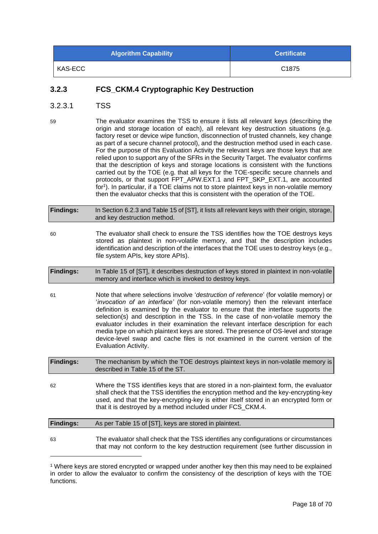| <b>Algorithm Capability</b> | <b>Certificate</b> |
|-----------------------------|--------------------|
| KAS-ECC                     | C <sub>1875</sub>  |

## **3.2.3 FCS\_CKM.4 Cryptographic Key Destruction**

- 3.2.3.1 TSS
- 59 The evaluator examines the TSS to ensure it lists all relevant keys (describing the origin and storage location of each), all relevant key destruction situations (e.g. factory reset or device wipe function, disconnection of trusted channels, key change as part of a secure channel protocol), and the destruction method used in each case. For the purpose of this Evaluation Activity the relevant keys are those keys that are relied upon to support any of the SFRs in the Security Target. The evaluator confirms that the description of keys and storage locations is consistent with the functions carried out by the TOE (e.g. that all keys for the TOE-specific secure channels and protocols, or that support FPT\_APW.EXT.1 and FPT\_SKP\_EXT.1, are accounted for<sup>1</sup>). In particular, if a TOE claims not to store plaintext keys in non-volatile memory then the evaluator checks that this is consistent with the operation of the TOE.
- **Findings:** In Section 6.2.3 and Table 15 of [ST], it lists all relevant keys with their origin, storage, and key destruction method.
- 60 The evaluator shall check to ensure the TSS identifies how the TOE destroys keys stored as plaintext in non-volatile memory, and that the description includes identification and description of the interfaces that the TOE uses to destroy keys (e.g., file system APIs, key store APIs).
- **Findings:** In Table 15 of [ST], it describes destruction of keys stored in plaintext in non-volatile memory and interface which is invoked to destroy keys.
- 61 Note that where selections involve '*destruction of reference*' (for volatile memory) or '*invocation of an interface'* (for non-volatile memory) then the relevant interface definition is examined by the evaluator to ensure that the interface supports the selection(s) and description in the TSS. In the case of non-volatile memory the evaluator includes in their examination the relevant interface description for each media type on which plaintext keys are stored. The presence of OS-level and storage device-level swap and cache files is not examined in the current version of the Evaluation Activity.

**Findings:** The mechanism by which the TOE destroys plaintext keys in non-volatile memory is described in Table 15 of the ST.

62 Where the TSS identifies keys that are stored in a non-plaintext form, the evaluator shall check that the TSS identifies the encryption method and the key-encrypting-key used, and that the key-encrypting-key is either itself stored in an encrypted form or that it is destroyed by a method included under FCS\_CKM.4.

| <b>Findings:</b> | As per Table 15 of [ST], keys are stored in plaintext.                                                                                                                      |  |
|------------------|-----------------------------------------------------------------------------------------------------------------------------------------------------------------------------|--|
|                  |                                                                                                                                                                             |  |
| 63               | The evaluator shall check that the TSS identifies any configurations or circumstances<br>that may not conform to the key destruction requirement (see further discussion in |  |

<sup>1</sup> Where keys are stored encrypted or wrapped under another key then this may need to be explained in order to allow the evaluator to confirm the consistency of the description of keys with the TOE functions.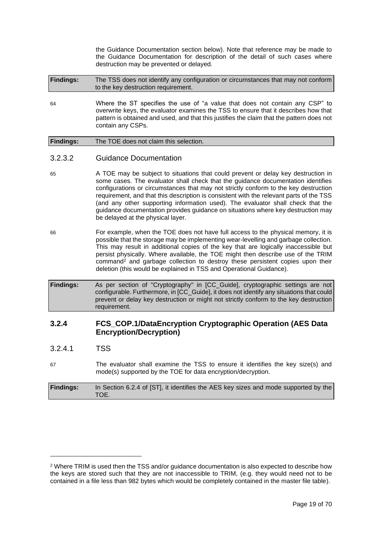the Guidance Documentation section below). Note that reference may be made to the Guidance Documentation for description of the detail of such cases where destruction may be prevented or delayed.

**Findings:** The TSS does not identify any configuration or circumstances that may not conform to the key destruction requirement.

64 Where the ST specifies the use of "a value that does not contain any CSP" to overwrite keys, the evaluator examines the TSS to ensure that it describes how that pattern is obtained and used, and that this justifies the claim that the pattern does not contain any CSPs.

#### **Findings:** The TOE does not claim this selection.

- 3.2.3.2 Guidance Documentation
- 65 A TOE may be subject to situations that could prevent or delay key destruction in some cases. The evaluator shall check that the guidance documentation identifies configurations or circumstances that may not strictly conform to the key destruction requirement, and that this description is consistent with the relevant parts of the TSS (and any other supporting information used). The evaluator shall check that the guidance documentation provides guidance on situations where key destruction may be delayed at the physical layer.
- 66 For example, when the TOE does not have full access to the physical memory, it is possible that the storage may be implementing wear-levelling and garbage collection. This may result in additional copies of the key that are logically inaccessible but persist physically. Where available, the TOE might then describe use of the TRIM command<sup>2</sup> and garbage collection to destroy these persistent copies upon their deletion (this would be explained in TSS and Operational Guidance).
- **Findings:** As per section of "Cryptography" in [CC\_Guide], cryptographic settings are not configurable. Furthermore, in [CC\_Guide], it does not identify any situations that could prevent or delay key destruction or might not strictly conform to the key destruction requirement.

## **3.2.4 FCS\_COP.1/DataEncryption Cryptographic Operation (AES Data Encryption/Decryption)**

- 3.2.4.1 TSS
- 67 The evaluator shall examine the TSS to ensure it identifies the key size(s) and mode(s) supported by the TOE for data encryption/decryption.

| <b>Findings:</b> | In Section 6.2.4 of [ST], it identifies the AES key sizes and mode supported by the |
|------------------|-------------------------------------------------------------------------------------|
|                  | TOE.                                                                                |

<sup>&</sup>lt;sup>2</sup> Where TRIM is used then the TSS and/or guidance documentation is also expected to describe how the keys are stored such that they are not inaccessible to TRIM, (e.g. they would need not to be contained in a file less than 982 bytes which would be completely contained in the master file table).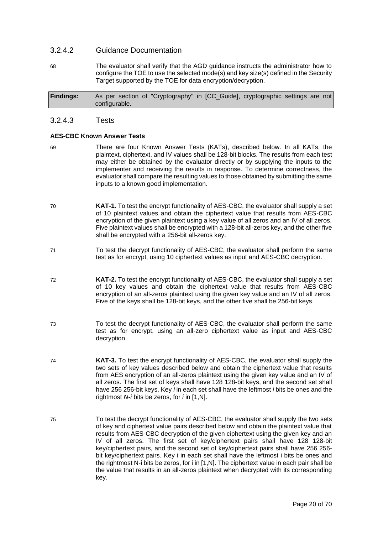#### 3.2.4.2 Guidance Documentation

68 The evaluator shall verify that the AGD guidance instructs the administrator how to configure the TOE to use the selected mode(s) and key size(s) defined in the Security Target supported by the TOE for data encryption/decryption.

**Findings:** As per section of "Cryptography" in [CC\_Guide], cryptographic settings are not configurable.

#### 3.2.4.3 Tests

#### **AES-CBC Known Answer Tests**

- 69 There are four Known Answer Tests (KATs), described below. In all KATs, the plaintext, ciphertext, and IV values shall be 128-bit blocks. The results from each test may either be obtained by the evaluator directly or by supplying the inputs to the implementer and receiving the results in response. To determine correctness, the evaluator shall compare the resulting values to those obtained by submitting the same inputs to a known good implementation.
- 70 **KAT-1.** To test the encrypt functionality of AES-CBC, the evaluator shall supply a set of 10 plaintext values and obtain the ciphertext value that results from AES-CBC encryption of the given plaintext using a key value of all zeros and an IV of all zeros. Five plaintext values shall be encrypted with a 128-bit all-zeros key, and the other five shall be encrypted with a 256-bit all-zeros key.
- 71 To test the decrypt functionality of AES-CBC, the evaluator shall perform the same test as for encrypt, using 10 ciphertext values as input and AES-CBC decryption.
- 72 **KAT-2.** To test the encrypt functionality of AES-CBC, the evaluator shall supply a set of 10 key values and obtain the ciphertext value that results from AES-CBC encryption of an all-zeros plaintext using the given key value and an IV of all zeros. Five of the keys shall be 128-bit keys, and the other five shall be 256-bit keys.
- 73 To test the decrypt functionality of AES-CBC, the evaluator shall perform the same test as for encrypt, using an all-zero ciphertext value as input and AES-CBC decryption.
- 74 **KAT-3.** To test the encrypt functionality of AES-CBC, the evaluator shall supply the two sets of key values described below and obtain the ciphertext value that results from AES encryption of an all-zeros plaintext using the given key value and an IV of all zeros. The first set of keys shall have 128 128-bit keys, and the second set shall have 256 256-bit keys. Key *i* in each set shall have the leftmost *i* bits be ones and the rightmost *N-i* bits be zeros, for *i* in [1,N].
- 75 To test the decrypt functionality of AES-CBC, the evaluator shall supply the two sets of key and ciphertext value pairs described below and obtain the plaintext value that results from AES-CBC decryption of the given ciphertext using the given key and an IV of all zeros. The first set of key/ciphertext pairs shall have 128 128-bit key/ciphertext pairs, and the second set of key/ciphertext pairs shall have 256 256 bit key/ciphertext pairs. Key i in each set shall have the leftmost i bits be ones and the rightmost N-i bits be zeros, for i in [1,N]. The ciphertext value in each pair shall be the value that results in an all-zeros plaintext when decrypted with its corresponding key.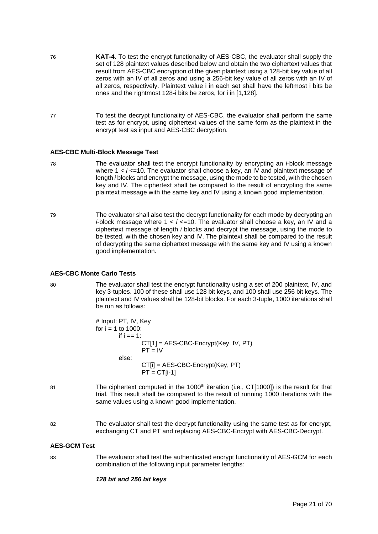- 76 **KAT-4.** To test the encrypt functionality of AES-CBC, the evaluator shall supply the set of 128 plaintext values described below and obtain the two ciphertext values that result from AES-CBC encryption of the given plaintext using a 128-bit key value of all zeros with an IV of all zeros and using a 256-bit key value of all zeros with an IV of all zeros, respectively. Plaintext value i in each set shall have the leftmost i bits be ones and the rightmost 128-i bits be zeros, for i in [1,128].
- 77 To test the decrypt functionality of AES-CBC, the evaluator shall perform the same test as for encrypt, using ciphertext values of the same form as the plaintext in the encrypt test as input and AES-CBC decryption.

#### **AES-CBC Multi-Block Message Test**

- 78 The evaluator shall test the encrypt functionality by encrypting an *i*-block message where 1 < *i* <= 10. The evaluator shall choose a key, an IV and plaintext message of length *i* blocks and encrypt the message, using the mode to be tested, with the chosen key and IV. The ciphertext shall be compared to the result of encrypting the same plaintext message with the same key and IV using a known good implementation.
- 79 The evaluator shall also test the decrypt functionality for each mode by decrypting an *i*-block message where 1 < *i* <=10. The evaluator shall choose a key, an IV and a ciphertext message of length *i* blocks and decrypt the message, using the mode to be tested, with the chosen key and IV. The plaintext shall be compared to the result of decrypting the same ciphertext message with the same key and IV using a known good implementation.

#### **AES-CBC Monte Carlo Tests**

80 The evaluator shall test the encrypt functionality using a set of 200 plaintext, IV, and key 3-tuples. 100 of these shall use 128 bit keys, and 100 shall use 256 bit keys. The plaintext and IV values shall be 128-bit blocks. For each 3-tuple, 1000 iterations shall be run as follows:

> # Input: PT, IV, Key for  $i = 1$  to 1000: if i == 1: CT[1] = AES-CBC-Encrypt(Key, IV, PT)  $PT = IV$ else: CT[i] = AES-CBC-Encrypt(Key, PT)  $PT = CT[i-1]$

- 81 The ciphertext computed in the 1000<sup>th</sup> iteration (i.e., CT[1000]) is the result for that trial. This result shall be compared to the result of running 1000 iterations with the same values using a known good implementation.
- 82 The evaluator shall test the decrypt functionality using the same test as for encrypt, exchanging CT and PT and replacing AES-CBC-Encrypt with AES-CBC-Decrypt.

#### **AES-GCM Test**

83 The evaluator shall test the authenticated encrypt functionality of AES-GCM for each combination of the following input parameter lengths:

#### *128 bit and 256 bit keys*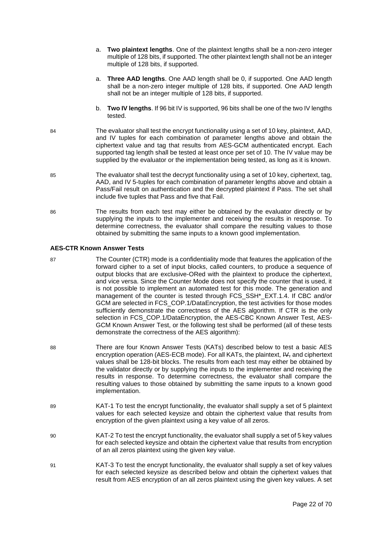- a. **Two plaintext lengths**. One of the plaintext lengths shall be a non-zero integer multiple of 128 bits, if supported. The other plaintext length shall not be an integer multiple of 128 bits, if supported.
- a. **Three AAD lengths**. One AAD length shall be 0, if supported. One AAD length shall be a non-zero integer multiple of 128 bits, if supported. One AAD length shall not be an integer multiple of 128 bits, if supported.
- b. **Two IV lengths**. If 96 bit IV is supported, 96 bits shall be one of the two IV lengths tested.
- 84 The evaluator shall test the encrypt functionality using a set of 10 key, plaintext, AAD, and IV tuples for each combination of parameter lengths above and obtain the ciphertext value and tag that results from AES-GCM authenticated encrypt. Each supported tag length shall be tested at least once per set of 10. The IV value may be supplied by the evaluator or the implementation being tested, as long as it is known.
- 85 The evaluator shall test the decrypt functionality using a set of 10 key, ciphertext, tag, AAD, and IV 5-tuples for each combination of parameter lengths above and obtain a Pass/Fail result on authentication and the decrypted plaintext if Pass. The set shall include five tuples that Pass and five that Fail.
- 86 The results from each test may either be obtained by the evaluator directly or by supplying the inputs to the implementer and receiving the results in response. To determine correctness, the evaluator shall compare the resulting values to those obtained by submitting the same inputs to a known good implementation.

#### **AES-CTR Known Answer Tests**

- 87 The Counter (CTR) mode is a confidentiality mode that features the application of the forward cipher to a set of input blocks, called counters, to produce a sequence of output blocks that are exclusive-ORed with the plaintext to produce the ciphertext, and vice versa. Since the Counter Mode does not specify the counter that is used, it is not possible to implement an automated test for this mode. The generation and management of the counter is tested through FCS\_SSH\*\_EXT.1.4. If CBC and/or GCM are selected in FCS\_COP.1/DataEncryption, the test activities for those modes sufficiently demonstrate the correctness of the AES algorithm. If CTR is the only selection in FCS\_COP.1/DataEncryption, the AES-CBC Known Answer Test, AES-GCM Known Answer Test, or the following test shall be performed (all of these tests demonstrate the correctness of the AES algorithm):
- 88 There are four Known Answer Tests (KATs) described below to test a basic AES encryption operation (AES-ECB mode). For all KATs, the plaintext, IV-, and ciphertext values shall be 128-bit blocks. The results from each test may either be obtained by the validator directly or by supplying the inputs to the implementer and receiving the results in response. To determine correctness, the evaluator shall compare the resulting values to those obtained by submitting the same inputs to a known good implementation.
- 89 KAT-1 To test the encrypt functionality, the evaluator shall supply a set of 5 plaintext values for each selected keysize and obtain the ciphertext value that results from encryption of the given plaintext using a key value of all zeros.
- 90 KAT-2 To test the encrypt functionality, the evaluator shall supply a set of 5 key values for each selected keysize and obtain the ciphertext value that results from encryption of an all zeros plaintext using the given key value.
- 91 KAT-3 To test the encrypt functionality, the evaluator shall supply a set of key values for each selected keysize as described below and obtain the ciphertext values that result from AES encryption of an all zeros plaintext using the given key values. A set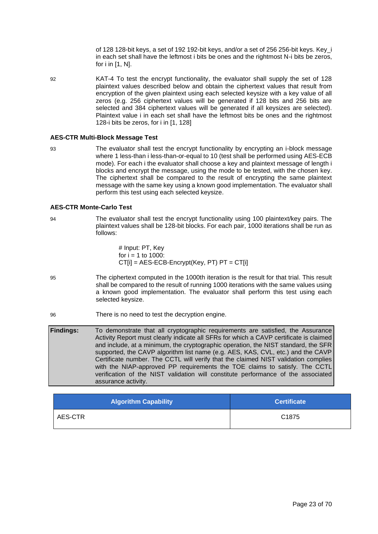of 128 128-bit keys, a set of 192 192-bit keys, and/or a set of 256 256-bit keys. Key\_i in each set shall have the leftmost i bits be ones and the rightmost N-i bits be zeros, for i in [1, N].

92 KAT-4 To test the encrypt functionality, the evaluator shall supply the set of 128 plaintext values described below and obtain the ciphertext values that result from encryption of the given plaintext using each selected keysize with a key value of all zeros (e.g. 256 ciphertext values will be generated if 128 bits and 256 bits are selected and 384 ciphertext values will be generated if all keysizes are selected). Plaintext value i in each set shall have the leftmost bits be ones and the rightmost 128-i bits be zeros, for i in [1, 128]

#### **AES-CTR Multi-Block Message Test**

93 The evaluator shall test the encrypt functionality by encrypting an i-block message where 1 less-than i less-than-or-equal to 10 (test shall be performed using AES-ECB mode). For each i the evaluator shall choose a key and plaintext message of length i blocks and encrypt the message, using the mode to be tested, with the chosen key. The ciphertext shall be compared to the result of encrypting the same plaintext message with the same key using a known good implementation. The evaluator shall perform this test using each selected keysize.

#### **AES-CTR Monte-Carlo Test**

94 The evaluator shall test the encrypt functionality using 100 plaintext/key pairs. The plaintext values shall be 128-bit blocks. For each pair, 1000 iterations shall be run as follows:

> # Input: PT, Key for  $i = 1$  to 1000:  $CT[i] = AES-ECB-Encrypt(Key, PT) PT = CT[i]$

- 95 The ciphertext computed in the 1000th iteration is the result for that trial. This result shall be compared to the result of running 1000 iterations with the same values using a known good implementation. The evaluator shall perform this test using each selected keysize.
- 96 There is no need to test the decryption engine.

**Findings:** To demonstrate that all cryptographic requirements are satisfied, the Assurance Activity Report must clearly indicate all SFRs for which a CAVP certificate is claimed and include, at a minimum, the cryptographic operation, the NIST standard, the SFR supported, the CAVP algorithm list name (e.g. AES, KAS, CVL, etc.) and the CAVP Certificate number. The CCTL will verify that the claimed NIST validation complies with the NIAP-approved PP requirements the TOE claims to satisfy. The CCTL verification of the NIST validation will constitute performance of the associated assurance activity.

| <b>Algorithm Capability</b> | <b>Certificate</b> |
|-----------------------------|--------------------|
| AES-CTR                     | C <sub>1875</sub>  |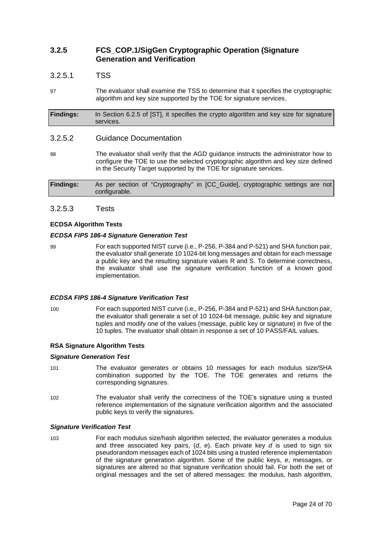## **3.2.5 FCS\_COP.1/SigGen Cryptographic Operation (Signature Generation and Verification**

#### 3.2.5.1 TSS

97 The evaluator shall examine the TSS to determine that it specifies the cryptographic algorithm and key size supported by the TOE for signature services.

**Findings:** In Section 6.2.5 of [ST], it specifies the crypto algorithm and key size for signature services.

#### 3.2.5.2 Guidance Documentation

98 The evaluator shall verify that the AGD guidance instructs the administrator how to configure the TOE to use the selected cryptographic algorithm and key size defined in the Security Target supported by the TOE for signature services.

**Findings:** As per section of "Cryptography" in [CC\_Guide], cryptographic settings are not configurable.

#### 3.2.5.3 Tests

#### **ECDSA Algorithm Tests**

#### *ECDSA FIPS 186-4 Signature Generation Test*

99 For each supported NIST curve (i.e., P-256, P-384 and P-521) and SHA function pair, the evaluator shall generate 10 1024-bit long messages and obtain for each message a public key and the resulting signature values R and S. To determine correctness, the evaluator shall use the signature verification function of a known good implementation.

#### *ECDSA FIPS 186-4 Signature Verification Test*

100 For each supported NIST curve (i.e., P-256, P-384 and P-521) and SHA function pair, the evaluator shall generate a set of 10 1024-bit message, public key and signature tuples and modify one of the values (message, public key or signature) in five of the 10 tuples. The evaluator shall obtain in response a set of 10 PASS/FAIL values.

#### **RSA Signature Algorithm Tests**

#### *Signature Generation Test*

- 101 The evaluator generates or obtains 10 messages for each modulus size/SHA combination supported by the TOE. The TOE generates and returns the corresponding signatures.
- 102 The evaluator shall verify the correctness of the TOE's signature using a trusted reference implementation of the signature verification algorithm and the associated public keys to verify the signatures.

#### *Signature Verification Test*

103 For each modulus size/hash algorithm selected, the evaluator generates a modulus and three associated key pairs, (*d*, *e*). Each private key *d* is used to sign six pseudorandom messages each of 1024 bits using a trusted reference implementation of the signature generation algorithm. Some of the public keys, *e*, messages, or signatures are altered so that signature verification should fail. For both the set of original messages and the set of altered messages: the modulus, hash algorithm,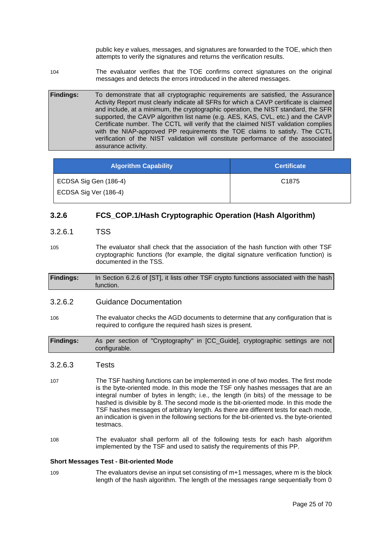public key *e* values, messages, and signatures are forwarded to the TOE, which then attempts to verify the signatures and returns the verification results.

104 The evaluator verifies that the TOE confirms correct signatures on the original messages and detects the errors introduced in the altered messages.

**Findings:** To demonstrate that all cryptographic requirements are satisfied, the Assurance Activity Report must clearly indicate all SFRs for which a CAVP certificate is claimed and include, at a minimum, the cryptographic operation, the NIST standard, the SFR supported, the CAVP algorithm list name (e.g. AES, KAS, CVL, etc.) and the CAVP Certificate number. The CCTL will verify that the claimed NIST validation complies with the NIAP-approved PP requirements the TOE claims to satisfy. The CCTL verification of the NIST validation will constitute performance of the associated assurance activity.

| <b>Algorithm Capability</b> | <b>Certificate</b> |
|-----------------------------|--------------------|
| ECDSA Sig Gen (186-4)       | C <sub>1875</sub>  |
| ECDSA Sig Ver (186-4)       |                    |

## **3.2.6 FCS\_COP.1/Hash Cryptographic Operation (Hash Algorithm)**

## 3.2.6.1 TSS

- 105 The evaluator shall check that the association of the hash function with other TSF cryptographic functions (for example, the digital signature verification function) is documented in the TSS.
- **Findings:** In Section 6.2.6 of [ST], it lists other TSF crypto functions associated with the hash function.

#### 3.2.6.2 Guidance Documentation

106 The evaluator checks the AGD documents to determine that any configuration that is required to configure the required hash sizes is present.

**Findings:** As per section of "Cryptography" in [CC\_Guide], cryptographic settings are not configurable.

## 3.2.6.3 Tests

- 107 The TSF hashing functions can be implemented in one of two modes. The first mode is the byte-oriented mode. In this mode the TSF only hashes messages that are an integral number of bytes in length; i.e., the length (in bits) of the message to be hashed is divisible by 8. The second mode is the bit-oriented mode. In this mode the TSF hashes messages of arbitrary length. As there are different tests for each mode, an indication is given in the following sections for the bit-oriented vs. the byte-oriented testmacs.
- 108 The evaluator shall perform all of the following tests for each hash algorithm implemented by the TSF and used to satisfy the requirements of this PP.

#### **Short Messages Test - Bit-oriented Mode**

109 The evaluators devise an input set consisting of m+1 messages, where m is the block length of the hash algorithm. The length of the messages range sequentially from 0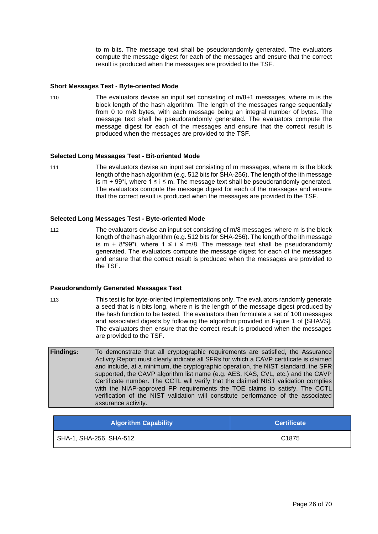to m bits. The message text shall be pseudorandomly generated. The evaluators compute the message digest for each of the messages and ensure that the correct result is produced when the messages are provided to the TSF.

#### **Short Messages Test - Byte-oriented Mode**

110 The evaluators devise an input set consisting of m/8+1 messages, where m is the block length of the hash algorithm. The length of the messages range sequentially from 0 to m/8 bytes, with each message being an integral number of bytes. The message text shall be pseudorandomly generated. The evaluators compute the message digest for each of the messages and ensure that the correct result is produced when the messages are provided to the TSF.

#### **Selected Long Messages Test - Bit-oriented Mode**

111 The evaluators devise an input set consisting of m messages, where m is the block length of the hash algorithm (e.g. 512 bits for SHA-256). The length of the ith message is  $m + 99$ <sup>\*</sup>i, where 1 ≤ i ≤ m. The message text shall be pseudorandomly generated. The evaluators compute the message digest for each of the messages and ensure that the correct result is produced when the messages are provided to the TSF.

#### **Selected Long Messages Test - Byte-oriented Mode**

112 The evaluators devise an input set consisting of m/8 messages, where m is the block length of the hash algorithm (e.g. 512 bits for SHA-256). The length of the ith message is m + 8\*99\*i, where  $1 \le i \le m/8$ . The message text shall be pseudorandomly generated. The evaluators compute the message digest for each of the messages and ensure that the correct result is produced when the messages are provided to the TSF.

#### **Pseudorandomly Generated Messages Test**

- 113 This test is for byte-oriented implementations only. The evaluators randomly generate a seed that is n bits long, where n is the length of the message digest produced by the hash function to be tested. The evaluators then formulate a set of 100 messages and associated digests by following the algorithm provided in Figure 1 of [SHAVS]. The evaluators then ensure that the correct result is produced when the messages are provided to the TSF.
- **Findings:** To demonstrate that all cryptographic requirements are satisfied, the Assurance Activity Report must clearly indicate all SFRs for which a CAVP certificate is claimed and include, at a minimum, the cryptographic operation, the NIST standard, the SFR supported, the CAVP algorithm list name (e.g. AES, KAS, CVL, etc.) and the CAVP Certificate number. The CCTL will verify that the claimed NIST validation complies with the NIAP-approved PP requirements the TOE claims to satisfy. The CCTL verification of the NIST validation will constitute performance of the associated assurance activity.

| <b>Algorithm Capability</b> | <b>Certificate</b> |
|-----------------------------|--------------------|
| SHA-1, SHA-256, SHA-512     | C <sub>1875</sub>  |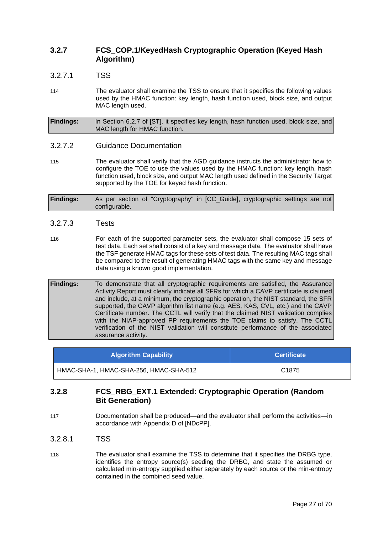## **3.2.7 FCS\_COP.1/KeyedHash Cryptographic Operation (Keyed Hash Algorithm)**

### 3.2.7.1 TSS

114 The evaluator shall examine the TSS to ensure that it specifies the following values used by the HMAC function: key length, hash function used, block size, and output MAC length used.

**Findings:** In Section 6.2.7 of [ST], it specifies key length, hash function used, block size, and MAC length for HMAC function.

#### 3.2.7.2 Guidance Documentation

115 The evaluator shall verify that the AGD guidance instructs the administrator how to configure the TOE to use the values used by the HMAC function: key length, hash function used, block size, and output MAC length used defined in the Security Target supported by the TOE for keyed hash function.

**Findings:** As per section of "Cryptography" in [CC\_Guide], cryptographic settings are not configurable.

#### 3.2.7.3 Tests

116 For each of the supported parameter sets, the evaluator shall compose 15 sets of test data. Each set shall consist of a key and message data. The evaluator shall have the TSF generate HMAC tags for these sets of test data. The resulting MAC tags shall be compared to the result of generating HMAC tags with the same key and message data using a known good implementation.

**Findings:** To demonstrate that all cryptographic requirements are satisfied, the Assurance Activity Report must clearly indicate all SFRs for which a CAVP certificate is claimed and include, at a minimum, the cryptographic operation, the NIST standard, the SFR supported, the CAVP algorithm list name (e.g. AES, KAS, CVL, etc.) and the CAVP Certificate number. The CCTL will verify that the claimed NIST validation complies with the NIAP-approved PP requirements the TOE claims to satisfy. The CCTL verification of the NIST validation will constitute performance of the associated assurance activity.

| <b>Algorithm Capability</b>            | <b>Certificate</b> |
|----------------------------------------|--------------------|
| HMAC-SHA-1, HMAC-SHA-256, HMAC-SHA-512 | C <sub>1875</sub>  |

## **3.2.8 FCS\_RBG\_EXT.1 Extended: Cryptographic Operation (Random Bit Generation)**

- 117 Documentation shall be produced—and the evaluator shall perform the activities—in accordance with Appendix D of [NDcPP].
- 3.2.8.1 TSS
- 118 The evaluator shall examine the TSS to determine that it specifies the DRBG type, identifies the entropy source(s) seeding the DRBG, and state the assumed or calculated min-entropy supplied either separately by each source or the min-entropy contained in the combined seed value.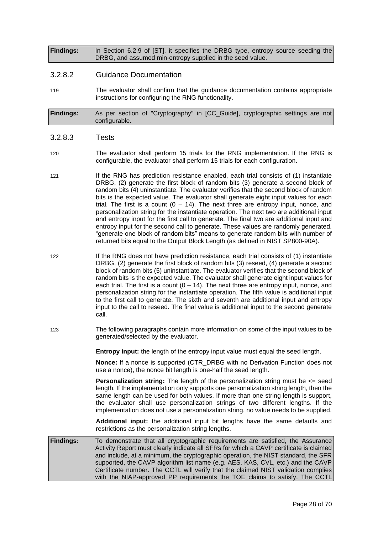**Findings:** In Section 6.2.9 of [ST], it specifies the DRBG type, entropy source seeding the DRBG, and assumed min-entropy supplied in the seed value.

#### 3.2.8.2 Guidance Documentation

119 The evaluator shall confirm that the guidance documentation contains appropriate instructions for configuring the RNG functionality.

**Findings:** As per section of "Cryptography" in [CC\_Guide], cryptographic settings are not configurable.

#### 3.2.8.3 Tests

- 120 The evaluator shall perform 15 trials for the RNG implementation. If the RNG is configurable, the evaluator shall perform 15 trials for each configuration.
- 121 If the RNG has prediction resistance enabled, each trial consists of (1) instantiate DRBG, (2) generate the first block of random bits (3) generate a second block of random bits (4) uninstantiate. The evaluator verifies that the second block of random bits is the expected value. The evaluator shall generate eight input values for each trial. The first is a count  $(0 - 14)$ . The next three are entropy input, nonce, and personalization string for the instantiate operation. The next two are additional input and entropy input for the first call to generate. The final two are additional input and entropy input for the second call to generate. These values are randomly generated. "generate one block of random bits" means to generate random bits with number of returned bits equal to the Output Block Length (as defined in NIST SP800-90A).
- 122 If the RNG does not have prediction resistance, each trial consists of (1) instantiate DRBG, (2) generate the first block of random bits (3) reseed, (4) generate a second block of random bits (5) uninstantiate. The evaluator verifies that the second block of random bits is the expected value. The evaluator shall generate eight input values for each trial. The first is a count  $(0 - 14)$ . The next three are entropy input, nonce, and personalization string for the instantiate operation. The fifth value is additional input to the first call to generate. The sixth and seventh are additional input and entropy input to the call to reseed. The final value is additional input to the second generate call.
- 123 The following paragraphs contain more information on some of the input values to be generated/selected by the evaluator.

**Entropy input:** the length of the entropy input value must equal the seed length.

**Nonce:** If a nonce is supported (CTR\_DRBG with no Derivation Function does not use a nonce), the nonce bit length is one-half the seed length.

**Personalization string:** The length of the personalization string must be  $\leq$  seed length. If the implementation only supports one personalization string length, then the same length can be used for both values. If more than one string length is support, the evaluator shall use personalization strings of two different lengths. If the implementation does not use a personalization string, no value needs to be supplied.

**Additional input:** the additional input bit lengths have the same defaults and restrictions as the personalization string lengths.

**Findings:** To demonstrate that all cryptographic requirements are satisfied, the Assurance Activity Report must clearly indicate all SFRs for which a CAVP certificate is claimed and include, at a minimum, the cryptographic operation, the NIST standard, the SFR supported, the CAVP algorithm list name (e.g. AES, KAS, CVL, etc.) and the CAVP Certificate number. The CCTL will verify that the claimed NIST validation complies with the NIAP-approved PP requirements the TOE claims to satisfy. The CCTL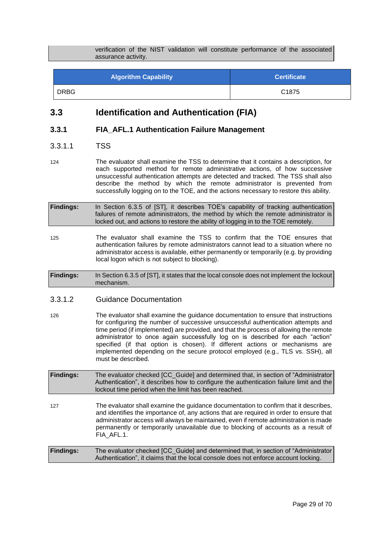verification of the NIST validation will constitute performance of the associated assurance activity.

<span id="page-28-0"></span>

| <b>Algorithm Capability</b> | <b>Certificate</b> |
|-----------------------------|--------------------|
| <b>DRBG</b>                 | C <sub>1875</sub>  |

## **3.3 Identification and Authentication (FIA)**

## **3.3.1 FIA\_AFL.1 Authentication Failure Management**

#### 3.3.1.1 TSS

124 The evaluator shall examine the TSS to determine that it contains a description, for each supported method for remote administrative actions, of how successive unsuccessful authentication attempts are detected and tracked. The TSS shall also describe the method by which the remote administrator is prevented from successfully logging on to the TOE, and the actions necessary to restore this ability.

- **Findings:** In Section 6.3.5 of [ST], it describes TOE's capability of tracking authentication failures of remote administrators, the method by which the remote administrator is locked out, and actions to restore the ability of logging in to the TOE remotely.
- 125 The evaluator shall examine the TSS to confirm that the TOE ensures that authentication failures by remote administrators cannot lead to a situation where no administrator access is available, either permanently or temporarily (e.g. by providing local logon which is not subject to blocking).

**Findings:** In Section 6.3.5 of [ST], it states that the local console does not implement the lockout mechanism.

#### 3.3.1.2 Guidance Documentation

- 126 The evaluator shall examine the guidance documentation to ensure that instructions for configuring the number of successive unsuccessful authentication attempts and time period (if implemented) are provided, and that the process of allowing the remote administrator to once again successfully log on is described for each "action" specified (if that option is chosen). If different actions or mechanisms are implemented depending on the secure protocol employed (e.g., TLS vs. SSH), all must be described.
- **Findings:** The evaluator checked [CC\_Guide] and determined that, in section of "Administrator Authentication", it describes how to configure the authentication failure limit and the lockout time period when the limit has been reached.
- 127 The evaluator shall examine the guidance documentation to confirm that it describes, and identifies the importance of, any actions that are required in order to ensure that administrator access will always be maintained, even if remote administration is made permanently or temporarily unavailable due to blocking of accounts as a result of FIA\_AFL.1.

#### **Findings:** The evaluator checked [CC\_Guide] and determined that, in section of "Administrator Authentication", it claims that the local console does not enforce account locking.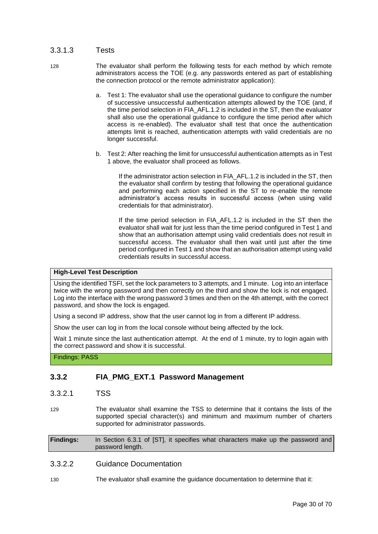## 3.3.1.3 Tests

- 128 The evaluator shall perform the following tests for each method by which remote administrators access the TOE (e.g. any passwords entered as part of establishing the connection protocol or the remote administrator application):
	- a. Test 1: The evaluator shall use the operational guidance to configure the number of successive unsuccessful authentication attempts allowed by the TOE (and, if the time period selection in FIA\_AFL.1.2 is included in the ST, then the evaluator shall also use the operational guidance to configure the time period after which access is re-enabled). The evaluator shall test that once the authentication attempts limit is reached, authentication attempts with valid credentials are no longer successful.
	- b. Test 2: After reaching the limit for unsuccessful authentication attempts as in Test 1 above, the evaluator shall proceed as follows.

If the administrator action selection in FIA AFL.1.2 is included in the ST, then the evaluator shall confirm by testing that following the operational guidance and performing each action specified in the ST to re-enable the remote administrator's access results in successful access (when using valid credentials for that administrator).

If the time period selection in FIA\_AFL.1.2 is included in the ST then the evaluator shall wait for just less than the time period configured in Test 1 and show that an authorisation attempt using valid credentials does not result in successful access. The evaluator shall then wait until just after the time period configured in Test 1 and show that an authorisation attempt using valid credentials results in successful access.

#### **High-Level Test Description**

Using the identified TSFI, set the lock parameters to 3 attempts, and 1 minute. Log into an interface twice with the wrong password and then correctly on the third and show the lock is not engaged. Log into the interface with the wrong password 3 times and then on the 4th attempt, with the correct password, and show the lock is engaged.

Using a second IP address, show that the user cannot log in from a different IP address.

Show the user can log in from the local console without being affected by the lock.

Wait 1 minute since the last authentication attempt. At the end of 1 minute, try to login again with the correct password and show it is successful.

Findings: PASS

## **3.3.2 FIA\_PMG\_EXT.1 Password Management**

- 3.3.2.1 TSS
- 129 The evaluator shall examine the TSS to determine that it contains the lists of the supported special character(s) and minimum and maximum number of charters supported for administrator passwords.

**Findings:** In Section 6.3.1 of [ST], it specifies what characters make up the password and password length.

## 3.3.2.2 Guidance Documentation

130 The evaluator shall examine the guidance documentation to determine that it: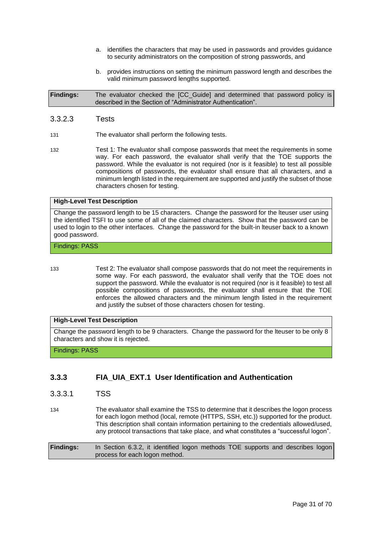- a. identifies the characters that may be used in passwords and provides guidance to security administrators on the composition of strong passwords, and
- b. provides instructions on setting the minimum password length and describes the valid minimum password lengths supported.

**Findings:** The evaluator checked the [CC\_Guide] and determined that password policy is described in the Section of "Administrator Authentication".

#### 3.3.2.3 Tests

- 131 The evaluator shall perform the following tests.
- 132 Test 1: The evaluator shall compose passwords that meet the requirements in some way. For each password, the evaluator shall verify that the TOE supports the password. While the evaluator is not required (nor is it feasible) to test all possible compositions of passwords, the evaluator shall ensure that all characters, and a minimum length listed in the requirement are supported and justify the subset of those characters chosen for testing.

#### **High-Level Test Description**

Change the password length to be 15 characters. Change the password for the lteuser user using the identified TSFI to use some of all of the claimed characters. Show that the password can be used to login to the other interfaces. Change the password for the built-in lteuser back to a known good password.

#### Findings: PASS

- 
- 133 Test 2: The evaluator shall compose passwords that do not meet the requirements in some way. For each password, the evaluator shall verify that the TOE does not support the password. While the evaluator is not required (nor is it feasible) to test all possible compositions of passwords, the evaluator shall ensure that the TOE enforces the allowed characters and the minimum length listed in the requirement and justify the subset of those characters chosen for testing.

#### **High-Level Test Description**

Change the password length to be 9 characters. Change the password for the lteuser to be only 8 characters and show it is rejected.

#### Findings: PASS

## **3.3.3 FIA\_UIA\_EXT.1 User Identification and Authentication**

- 3.3.3.1 TSS
- 134 The evaluator shall examine the TSS to determine that it describes the logon process for each logon method (local, remote (HTTPS, SSH, etc.)) supported for the product. This description shall contain information pertaining to the credentials allowed/used, any protocol transactions that take place, and what constitutes a "successful logon".
- **Findings:** In Section 6.3.2, it identified logon methods TOE supports and describes logon process for each logon method.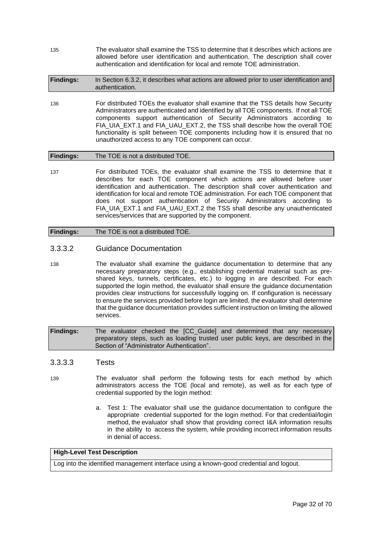135 The evaluator shall examine the TSS to determine that it describes which actions are allowed before user identification and authentication. The description shall cover authentication and identification for local and remote TOE administration.

| <b>Findings:</b> | In Section 6.3.2, it describes what actions are allowed prior to user identification and |
|------------------|------------------------------------------------------------------------------------------|
|                  | authentication.                                                                          |

136 For distributed TOEs the evaluator shall examine that the TSS details how Security Administrators are authenticated and identified by all TOE components. If not all TOE components support authentication of Security Administrators according to FIA\_UIA\_EXT.1 and FIA\_UAU\_EXT.2, the TSS shall describe how the overall TOE functionality is split between TOE components including how it is ensured that no unauthorized access to any TOE component can occur.

### **Findings:** The TOE is not a distributed TOE.

137 For distributed TOEs, the evaluator shall examine the TSS to determine that it describes for each TOE component which actions are allowed before user identification and authentication. The description shall cover authentication and identification for local and remote TOE administration. For each TOE component that does not support authentication of Security Administrators according to FIA\_UIA\_EXT.1 and FIA\_UAU\_EXT.2 the TSS shall describe any unauthenticated services/services that are supported by the component.

#### **Findings:** The TOE is not a distributed TOE.

## 3.3.3.2 Guidance Documentation

138 The evaluator shall examine the guidance documentation to determine that any necessary preparatory steps (e.g., establishing credential material such as preshared keys, tunnels, certificates, etc.) to logging in are described. For each supported the login method, the evaluator shall ensure the guidance documentation provides clear instructions for successfully logging on. If configuration is necessary to ensure the services provided before login are limited, the evaluator shall determine that the guidance documentation provides sufficient instruction on limiting the allowed services.

**Findings:** The evaluator checked the [CC\_Guide] and determined that any necessary preparatory steps, such as loading trusted user public keys, are described in the Section of "Administrator Authentication".

#### 3.3.3.3 Tests

- 139 The evaluator shall perform the following tests for each method by which administrators access the TOE (local and remote), as well as for each type of credential supported by the login method:
	- a. Test 1: The evaluator shall use the guidance documentation to configure the appropriate credential supported for the login method. For that credential/login method, the evaluator shall show that providing correct I&A information results in the ability to access the system, while providing incorrect information results in denial of access.

#### **High-Level Test Description**

Log into the identified management interface using a known-good credential and logout.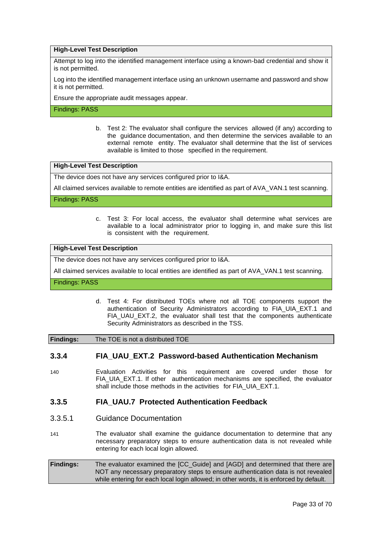#### **High-Level Test Description**

Attempt to log into the identified management interface using a known-bad credential and show it is not permitted.

Log into the identified management interface using an unknown username and password and show it is not permitted.

Ensure the appropriate audit messages appear.

Findings: PASS

b. Test 2: The evaluator shall configure the services allowed (if any) according to the guidance documentation, and then determine the services available to an external remote entity. The evaluator shall determine that the list of services available is limited to those specified in the requirement.

**High-Level Test Description**

The device does not have any services configured prior to I&A.

All claimed services available to remote entities are identified as part of AVA\_VAN.1 test scanning.

Findings: PASS

c. Test 3: For local access, the evaluator shall determine what services are available to a local administrator prior to logging in, and make sure this list is consistent with the requirement.

**High-Level Test Description**

The device does not have any services configured prior to I&A.

All claimed services available to local entities are identified as part of AVA\_VAN.1 test scanning.

#### Findings: PASS

d. Test 4: For distributed TOEs where not all TOE components support the authentication of Security Administrators according to FIA\_UIA\_EXT.1 and FIA UAU EXT.2, the evaluator shall test that the components authenticate Security Administrators as described in the TSS.

**Findings:** The TOE is not a distributed TOE

#### **3.3.4 FIA\_UAU\_EXT.2 Password-based Authentication Mechanism**

140 Evaluation Activities for this requirement are covered under those for FIA UIA EXT.1. If other authentication mechanisms are specified, the evaluator shall include those methods in the activities for FIA\_UIA\_EXT.1.

#### **3.3.5 FIA\_UAU.7 Protected Authentication Feedback**

- 3.3.5.1 Guidance Documentation
- 141 The evaluator shall examine the guidance documentation to determine that any necessary preparatory steps to ensure authentication data is not revealed while entering for each local login allowed.

**Findings:** The evaluator examined the [CC\_Guide] and [AGD] and determined that there are NOT any necessary preparatory steps to ensure authentication data is not revealed while entering for each local login allowed; in other words, it is enforced by default.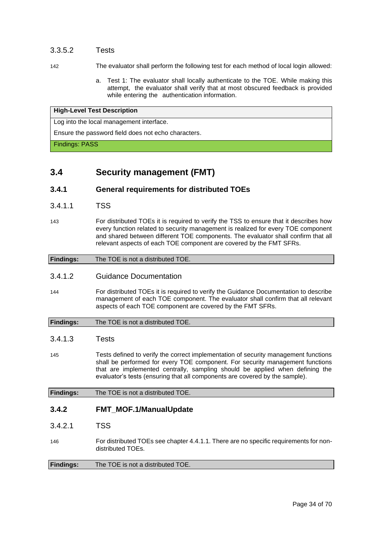## 3.3.5.2 Tests

- 142 The evaluator shall perform the following test for each method of local login allowed:
	- a. Test 1: The evaluator shall locally authenticate to the TOE. While making this attempt, the evaluator shall verify that at most obscured feedback is provided while entering the authentication information.

#### **High-Level Test Description**

Log into the local management interface.

<span id="page-33-0"></span>Ensure the password field does not echo characters.

Findings: PASS

## **3.4 Security management (FMT)**

#### **3.4.1 General requirements for distributed TOEs**

- 3.4.1.1 TSS
- 143 For distributed TOEs it is required to verify the TSS to ensure that it describes how every function related to security management is realized for every TOE component and shared between different TOE components. The evaluator shall confirm that all relevant aspects of each TOE component are covered by the FMT SFRs.

| <b>Findings:</b> | The TOE is not a distributed TOE. |
|------------------|-----------------------------------|

## 3.4.1.2 Guidance Documentation

144 For distributed TOEs it is required to verify the Guidance Documentation to describe management of each TOE component. The evaluator shall confirm that all relevant aspects of each TOE component are covered by the FMT SFRs.

| <b>Findings:</b> | The TOE is not a distributed TOE. |
|------------------|-----------------------------------|
|------------------|-----------------------------------|

#### 3.4.1.3 Tests

145 Tests defined to verify the correct implementation of security management functions shall be performed for every TOE component. For security management functions that are implemented centrally, sampling should be applied when defining the evaluator's tests (ensuring that all components are covered by the sample).

**Findings:** The TOE is not a distributed TOE.

## **3.4.2 FMT\_MOF.1/ManualUpdate**

- 3.4.2.1 TSS
- 146 For distributed TOEs see chapter 4.4.1.1. There are no specific requirements for nondistributed TOEs.

| <b>Findings:</b> | The TOE is not a distributed TOE. |
|------------------|-----------------------------------|
|                  |                                   |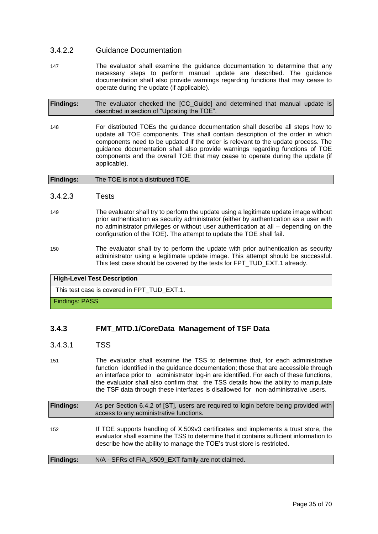## 3.4.2.2 Guidance Documentation

147 The evaluator shall examine the guidance documentation to determine that any necessary steps to perform manual update are described. The guidance documentation shall also provide warnings regarding functions that may cease to operate during the update (if applicable).

| <b>Findings:</b> | The evaluator checked the [CC_Guide] and determined that manual update is |  |  |  |  |  |
|------------------|---------------------------------------------------------------------------|--|--|--|--|--|
|                  | described in section of "Updating the TOE".                               |  |  |  |  |  |

148 For distributed TOEs the guidance documentation shall describe all steps how to update all TOE components. This shall contain description of the order in which components need to be updated if the order is relevant to the update process. The guidance documentation shall also provide warnings regarding functions of TOE components and the overall TOE that may cease to operate during the update (if applicable).

| <b>Findings:</b> | The TOE is not a distributed TOE. |
|------------------|-----------------------------------|
|                  |                                   |

#### 3.4.2.3 Tests

- 149 The evaluator shall try to perform the update using a legitimate update image without prior authentication as security administrator (either by authentication as a user with no administrator privileges or without user authentication at all – depending on the configuration of the TOE). The attempt to update the TOE shall fail.
- 150 The evaluator shall try to perform the update with prior authentication as security administrator using a legitimate update image. This attempt should be successful. This test case should be covered by the tests for FPT\_TUD\_EXT.1 already.

#### **High-Level Test Description**

This test case is covered in FPT\_TUD\_EXT.1.

#### Findings: PASS

## **3.4.3 FMT\_MTD.1/CoreData Management of TSF Data**

#### 3.4.3.1 TSS

151 The evaluator shall examine the TSS to determine that, for each administrative function identified in the guidance documentation; those that are accessible through an interface prior to administrator log-in are identified. For each of these functions, the evaluator shall also confirm that the TSS details how the ability to manipulate the TSF data through these interfaces is disallowed for non-administrative users.

| <b>Findings:</b> | As per Section 6.4.2 of [ST], users are required to login before being provided with<br>access to any administrative functions.                                                                                                                          |
|------------------|----------------------------------------------------------------------------------------------------------------------------------------------------------------------------------------------------------------------------------------------------------|
| 152              | If TOE supports handling of X.509v3 certificates and implements a trust store, the<br>evaluator shall examine the TSS to determine that it contains sufficient information to<br>describe how the ability to manage the TOE's trust store is restricted. |
| <b>Findings:</b> | N/A - SFRs of FIA_X509_EXT family are not claimed.                                                                                                                                                                                                       |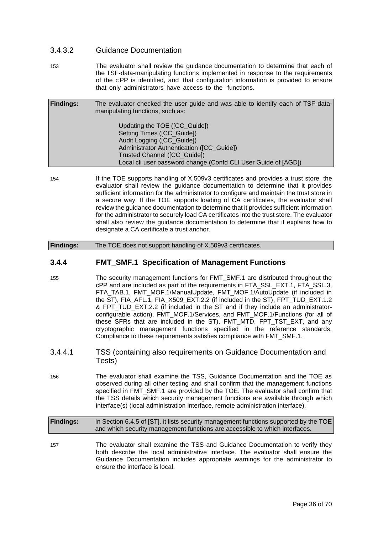## 3.4.3.2 Guidance Documentation

153 The evaluator shall review the guidance documentation to determine that each of the TSF-data-manipulating functions implemented in response to the requirements of the cPP is identified, and that configuration information is provided to ensure that only administrators have access to the functions.

| <b>Findings:</b> | The evaluator checked the user guide and was able to identify each of TSF-data-<br>manipulating functions, such as: |
|------------------|---------------------------------------------------------------------------------------------------------------------|
|                  | Updating the TOE ([CC_Guide])<br>Setting Times ([CC_Guide])<br>Audit Logging ([CC Guide])                           |
|                  | Administrator Authentication ([CC Guide])                                                                           |
|                  | Trusted Channel ([CC Guide])                                                                                        |
|                  | Local cli user password change (Confd CLI User Guide of [AGD])                                                      |

154 If the TOE supports handling of X.509v3 certificates and provides a trust store, the evaluator shall review the guidance documentation to determine that it provides sufficient information for the administrator to configure and maintain the trust store in a secure way. If the TOE supports loading of CA certificates, the evaluator shall review the guidance documentation to determine that it provides sufficient information for the administrator to securely load CA certificates into the trust store. The evaluator shall also review the guidance documentation to determine that it explains how to designate a CA certificate a trust anchor.

## **Findings:** The TOE does not support handling of X.509v3 certificates.

## **3.4.4 FMT\_SMF.1 Specification of Management Functions**

- 155 The security management functions for FMT\_SMF.1 are distributed throughout the cPP and are included as part of the requirements in FTA\_SSL\_EXT.1, FTA\_SSL.3, FTA\_TAB.1, FMT\_MOF.1/ManualUpdate, FMT\_MOF.1/AutoUpdate (if included in the ST), FIA\_AFL.1, FIA\_X509\_EXT.2.2 (if included in the ST), FPT\_TUD\_EXT.1.2 & FPT\_TUD\_EXT.2.2 (if included in the ST and if they include an administratorconfigurable action), FMT\_MOF.1/Services, and FMT\_MOF.1/Functions (for all of these SFRs that are included in the ST), FMT\_MTD, FPT\_TST\_EXT, and any cryptographic management functions specified in the reference standards. Compliance to these requirements satisfies compliance with FMT\_SMF.1.
- 3.4.4.1 TSS (containing also requirements on Guidance Documentation and Tests)
- 156 The evaluator shall examine the TSS, Guidance Documentation and the TOE as observed during all other testing and shall confirm that the management functions specified in FMT\_SMF.1 are provided by the TOE. The evaluator shall confirm that the TSS details which security management functions are available through which interface(s) (local administration interface, remote administration interface).

#### **Findings:** In Section 6.4.5 of [ST]. it lists security management functions supported by the TOE and which security management functions are accessible to which interfaces.

157 The evaluator shall examine the TSS and Guidance Documentation to verify they both describe the local administrative interface. The evaluator shall ensure the Guidance Documentation includes appropriate warnings for the administrator to ensure the interface is local.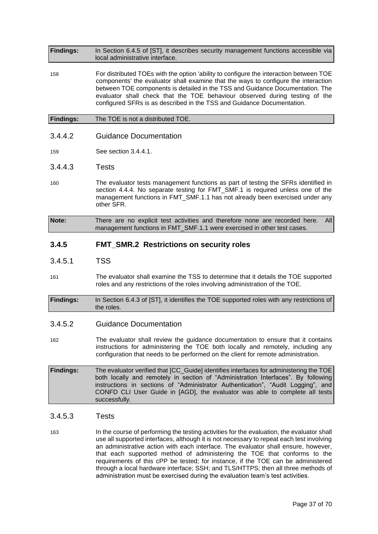**Findings:** In Section 6.4.5 of [ST], it describes security management functions accessible via local administrative interface.

158 For distributed TOEs with the option 'ability to configure the interaction between TOE components' the evaluator shall examine that the ways to configure the interaction between TOE components is detailed in the TSS and Guidance Documentation. The evaluator shall check that the TOE behaviour observed during testing of the configured SFRs is as described in the TSS and Guidance Documentation.

#### **Findings:** The TOE is not a distributed TOE.

3.4.4.2 Guidance Documentation

159 See section 3.4.4.1.

- 3.4.4.3 Tests
- 160 The evaluator tests management functions as part of testing the SFRs identified in section 4.4.4. No separate testing for FMT\_SMF.1 is required unless one of the management functions in FMT\_SMF.1.1 has not already been exercised under any other SFR.
- **Note:** There are no explicit test activities and therefore none are recorded here. All management functions in FMT\_SMF.1.1 were exercised in other test cases.

## **3.4.5 FMT\_SMR.2 Restrictions on security roles**

- 3.4.5.1 TSS
- 161 The evaluator shall examine the TSS to determine that it details the TOE supported roles and any restrictions of the roles involving administration of the TOE.
- **Findings:** In Section 6.4.3 of [ST], it identifies the TOE supported roles with any restrictions of the roles.

#### 3.4.5.2 Guidance Documentation

- 162 The evaluator shall review the guidance documentation to ensure that it contains instructions for administering the TOE both locally and remotely, including any configuration that needs to be performed on the client for remote administration.
- **Findings:** The evaluator verified that [CC\_Guide] identifies interfaces for administering the TOE both locally and remotely in section of "Administration Interfaces". By following instructions in sections of "Administrator Authentication", "Audit Logging", and CONFD CLI User Guide in [AGD], the evaluator was able to complete all tests successfully.

#### 3.4.5.3 Tests

163 In the course of performing the testing activities for the evaluation, the evaluator shall use all supported interfaces, although it is not necessary to repeat each test involving an administrative action with each interface. The evaluator shall ensure, however, that each supported method of administering the TOE that conforms to the requirements of this cPP be tested; for instance, if the TOE can be administered through a local hardware interface; SSH; and TLS/HTTPS; then all three methods of administration must be exercised during the evaluation team's test activities.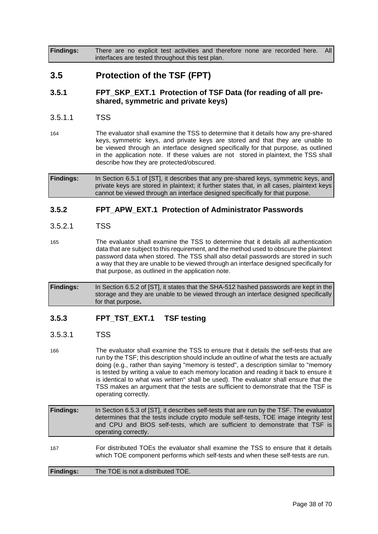<span id="page-37-0"></span>**Findings:** There are no explicit test activities and therefore none are recorded here. All interfaces are tested throughout this test plan.

## **3.5 Protection of the TSF (FPT)**

## **3.5.1 FPT\_SKP\_EXT.1 Protection of TSF Data (for reading of all preshared, symmetric and private keys)**

#### 3.5.1.1 TSS

164 The evaluator shall examine the TSS to determine that it details how any pre-shared keys, symmetric keys, and private keys are stored and that they are unable to be viewed through an interface designed specifically for that purpose, as outlined in the application note. If these values are not stored in plaintext, the TSS shall describe how they are protected/obscured.

**Findings:** In Section 6.5.1 of [ST], it describes that any pre-shared keys, symmetric keys, and private keys are stored in plaintext; it further states that, in all cases, plaintext keys cannot be viewed through an interface designed specifically for that purpose.

## **3.5.2 FPT\_APW\_EXT.1 Protection of Administrator Passwords**

#### 3.5.2.1 TSS

165 The evaluator shall examine the TSS to determine that it details all authentication data that are subject to this requirement, and the method used to obscure the plaintext password data when stored. The TSS shall also detail passwords are stored in such a way that they are unable to be viewed through an interface designed specifically for that purpose, as outlined in the application note.

**Findings:** In Section 6.5.2 of [ST], it states that the SHA-512 hashed passwords are kept in the storage and they are unable to be viewed through an interface designed specifically for that purpose**.**

## **3.5.3 FPT\_TST\_EXT.1 TSF testing**

## 3.5.3.1 TSS

166 The evaluator shall examine the TSS to ensure that it details the self-tests that are run by the TSF; this description should include an outline of what the tests are actually doing (e.g., rather than saying "memory is tested", a description similar to "memory is tested by writing a value to each memory location and reading it back to ensure it is identical to what was written" shall be used). The evaluator shall ensure that the TSS makes an argument that the tests are sufficient to demonstrate that the TSF is operating correctly.

**Findings:** In Section 6.5.3 of [ST], it describes self-tests that are run by the TSF. The evaluator determines that the tests include crypto module self-tests, TOE image integrity test and CPU and BIOS self-tests, which are sufficient to demonstrate that TSF is operating correctly.

167 For distributed TOEs the evaluator shall examine the TSS to ensure that it details which TOE component performs which self-tests and when these self-tests are run.

| <b>Findings:</b> | The TOE is not a distributed TOE. |  |
|------------------|-----------------------------------|--|
|------------------|-----------------------------------|--|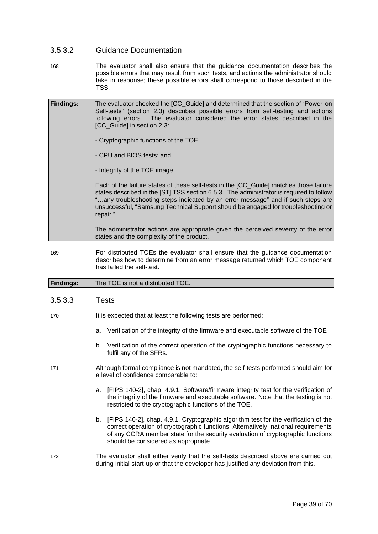#### 3.5.3.2 Guidance Documentation

168 The evaluator shall also ensure that the guidance documentation describes the possible errors that may result from such tests, and actions the administrator should take in response; these possible errors shall correspond to those described in the TSS.

| <b>Findings:</b> | The evaluator checked the [CC Guide] and determined that the section of "Power-on"<br>Self-tests" (section 2.3) describes possible errors from self-testing and actions<br>following errors. The evaluator considered the error states described in the<br>[CC_Guide] in section 2.3:                                                                                 |
|------------------|-----------------------------------------------------------------------------------------------------------------------------------------------------------------------------------------------------------------------------------------------------------------------------------------------------------------------------------------------------------------------|
|                  | - Cryptographic functions of the TOE;                                                                                                                                                                                                                                                                                                                                 |
|                  | - CPU and BIOS tests; and                                                                                                                                                                                                                                                                                                                                             |
|                  | - Integrity of the TOE image.                                                                                                                                                                                                                                                                                                                                         |
|                  | Each of the failure states of these self-tests in the [CC_Guide] matches those failure<br>states described in the [ST] TSS section 6.5.3. The administrator is required to follow<br>"any troubleshooting steps indicated by an error message" and if such steps are<br>unsuccessful, "Samsung Technical Support should be engaged for troubleshooting or<br>repair." |
|                  | The administrator actions are appropriate given the perceived severity of the error<br>states and the complexity of the product.                                                                                                                                                                                                                                      |
|                  |                                                                                                                                                                                                                                                                                                                                                                       |

169 For distributed TOEs the evaluator shall ensure that the guidance documentation describes how to determine from an error message returned which TOE component has failed the self-test.

### **Findings:** The TOE is not a distributed TOE.

#### 3.5.3.3 Tests

- 170 It is expected that at least the following tests are performed:
	- a. Verification of the integrity of the firmware and executable software of the TOE
	- b. Verification of the correct operation of the cryptographic functions necessary to fulfil any of the SFRs.
- 171 Although formal compliance is not mandated, the self-tests performed should aim for a level of confidence comparable to:
	- a. [FIPS 140-2], chap. 4.9.1, Software/firmware integrity test for the verification of the integrity of the firmware and executable software. Note that the testing is not restricted to the cryptographic functions of the TOE.
	- b. [FIPS 140-2], chap. 4.9.1, Cryptographic algorithm test for the verification of the correct operation of cryptographic functions. Alternatively, national requirements of any CCRA member state for the security evaluation of cryptographic functions should be considered as appropriate.
- 172 The evaluator shall either verify that the self-tests described above are carried out during initial start-up or that the developer has justified any deviation from this.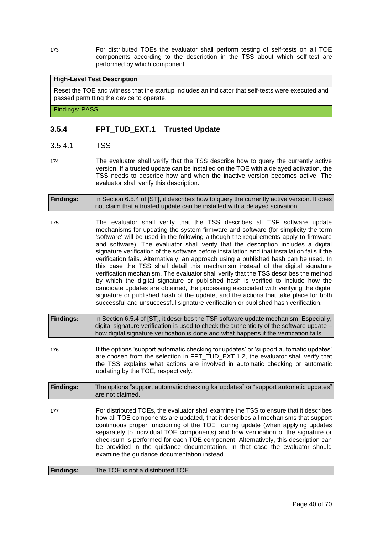173 For distributed TOEs the evaluator shall perform testing of self-tests on all TOE components according to the description in the TSS about which self-test are performed by which component.

#### **High-Level Test Description**

Reset the TOE and witness that the startup includes an indicator that self-tests were executed and passed permitting the device to operate.

Findings: PASS

## **3.5.4 FPT\_TUD\_EXT.1 Trusted Update**

- 3.5.4.1 TSS
- 174 The evaluator shall verify that the TSS describe how to query the currently active version. If a trusted update can be installed on the TOE with a delayed activation, the TSS needs to describe how and when the inactive version becomes active. The evaluator shall verify this description.

**Findings:** In Section 6.5.4 of [ST], it describes how to query the currently active version. It does not claim that a trusted update can be installed with a delayed activation.

- 175 The evaluator shall verify that the TSS describes all TSF software update mechanisms for updating the system firmware and software (for simplicity the term 'software' will be used in the following although the requirements apply to firmware and software). The evaluator shall verify that the description includes a digital signature verification of the software before installation and that installation fails if the verification fails. Alternatively, an approach using a published hash can be used. In this case the TSS shall detail this mechanism instead of the digital signature verification mechanism. The evaluator shall verify that the TSS describes the method by which the digital signature or published hash is verified to include how the candidate updates are obtained, the processing associated with verifying the digital signature or published hash of the update, and the actions that take place for both successful and unsuccessful signature verification or published hash verification.
- **Findings:** In Section 6.5.4 of [ST], it describes the TSF software update mechanism. Especially, digital signature verification is used to check the authenticity of the software update – how digital signature verification is done and what happens if the verification fails.
- 176 **If the options 'support automatic checking for updates' or 'support automatic updates'** are chosen from the selection in FPT\_TUD\_EXT.1.2, the evaluator shall verify that the TSS explains what actions are involved in automatic checking or automatic updating by the TOE, respectively.

**Findings:** The options "support automatic checking for updates" or "support automatic updates" are not claimed.

177 For distributed TOEs, the evaluator shall examine the TSS to ensure that it describes how all TOE components are updated, that it describes all mechanisms that support continuous proper functioning of the TOE during update (when applying updates separately to individual TOE components) and how verification of the signature or checksum is performed for each TOE component. Alternatively, this description can be provided in the guidance documentation. In that case the evaluator should examine the guidance documentation instead.

**Findings:** The TOE is not a distributed TOE.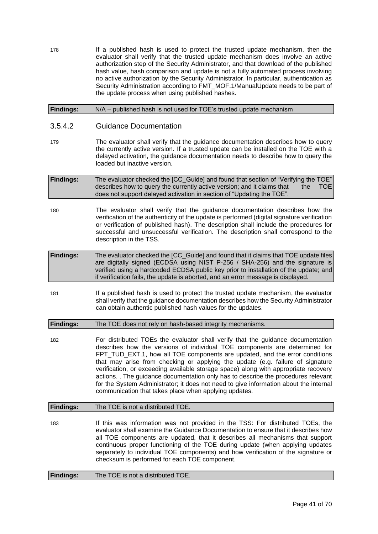178 If a published hash is used to protect the trusted update mechanism, then the evaluator shall verify that the trusted update mechanism does involve an active authorization step of the Security Administrator, and that download of the published hash value, hash comparison and update is not a fully automated process involving no active authorization by the Security Administrator. In particular, authentication as Security Administration according to FMT\_MOF.1/ManualUpdate needs to be part of the update process when using published hashes.

#### **Findings:** N/A – published hash is not used for TOE's trusted update mechanism

### 3.5.4.2 Guidance Documentation

- 179 The evaluator shall verify that the guidance documentation describes how to query the currently active version. If a trusted update can be installed on the TOE with a delayed activation, the guidance documentation needs to describe how to query the loaded but inactive version.
- **Findings:** The evaluator checked the [CC\_Guide] and found that section of "Verifying the TOE" describes how to query the currently active version; and it claims that the TOE does not support delayed activation in section of "Updating the TOE".
- 180 The evaluator shall verify that the guidance documentation describes how the verification of the authenticity of the update is performed (digital signature verification or verification of published hash). The description shall include the procedures for successful and unsuccessful verification. The description shall correspond to the description in the TSS.
- **Findings:** The evaluator checked the [CC\_Guide] and found that it claims that TOE update files are digitally signed (ECDSA using NIST P-256 / SHA-256) and the signature is verified using a hardcoded ECDSA public key prior to installation of the update; and if verification fails, the update is aborted, and an error message is displayed.
- 181 If a published hash is used to protect the trusted update mechanism, the evaluator shall verify that the guidance documentation describes how the Security Administrator can obtain authentic published hash values for the updates.

**Findings:** The TOE does not rely on hash-based integrity mechanisms.

182 For distributed TOEs the evaluator shall verify that the guidance documentation describes how the versions of individual TOE components are determined for FPT\_TUD\_EXT.1, how all TOE components are updated, and the error conditions that may arise from checking or applying the update (e.g. failure of signature verification, or exceeding available storage space) along with appropriate recovery actions. . The guidance documentation only has to describe the procedures relevant for the System Administrator; it does not need to give information about the internal communication that takes place when applying updates.

#### **Findings:** The TOE is not a distributed TOE.

183 If this was information was not provided in the TSS: For distributed TOEs, the evaluator shall examine the Guidance Documentation to ensure that it describes how all TOE components are updated, that it describes all mechanisms that support continuous proper functioning of the TOE during update (when applying updates separately to individual TOE components) and how verification of the signature or checksum is performed for each TOE component.

**Findings:** The TOE is not a distributed TOE.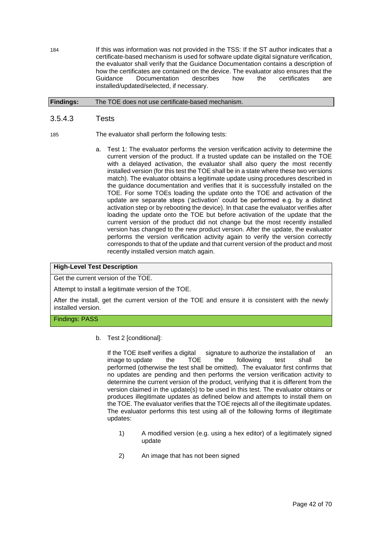184 If this was information was not provided in the TSS: If the ST author indicates that a certificate-based mechanism is used for software update digital signature verification, the evaluator shall verify that the Guidance Documentation contains a description of how the certificates are contained on the device. The evaluator also ensures that the Guidance Documentation describes how the certificates are installed/updated/selected, if necessary.

#### **Findings:** The TOE does not use certificate-based mechanism.

#### 3.5.4.3 Tests

- 185 The evaluator shall perform the following tests:
	- a. Test 1: The evaluator performs the version verification activity to determine the current version of the product. If a trusted update can be installed on the TOE with a delayed activation, the evaluator shall also query the most recently installed version (for this test the TOE shall be in a state where these two versions match). The evaluator obtains a legitimate update using procedures described in the guidance documentation and verifies that it is successfully installed on the TOE. For some TOEs loading the update onto the TOE and activation of the update are separate steps ('activation' could be performed e.g. by a distinct activation step or by rebooting the device). In that case the evaluator verifies after loading the update onto the TOE but before activation of the update that the current version of the product did not change but the most recently installed version has changed to the new product version. After the update, the evaluator performs the version verification activity again to verify the version correctly corresponds to that of the update and that current version of the product and most recently installed version match again.

#### **High-Level Test Description**

Get the current version of the TOE.

Attempt to install a legitimate version of the TOE.

After the install, get the current version of the TOE and ensure it is consistent with the newly installed version.

#### Findings: PASS

b. Test 2 [conditional]:

If the TOE itself verifies a digital signature to authorize the installation of an image to update the TOE the following test shall be performed (otherwise the test shall be omitted). The evaluator first confirms that no updates are pending and then performs the version verification activity to determine the current version of the product, verifying that it is different from the version claimed in the update(s) to be used in this test. The evaluator obtains or produces illegitimate updates as defined below and attempts to install them on the TOE. The evaluator verifies that the TOE rejects all of the illegitimate updates. The evaluator performs this test using all of the following forms of illegitimate updates:

- 1) A modified version (e.g. using a hex editor) of a legitimately signed update
- 2) An image that has not been signed

Page 42 of 70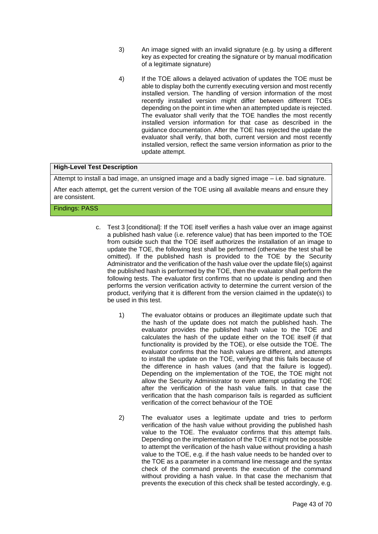- 3) An image signed with an invalid signature (e.g. by using a different key as expected for creating the signature or by manual modification of a legitimate signature)
- 4) If the TOE allows a delayed activation of updates the TOE must be able to display both the currently executing version and most recently installed version. The handling of version information of the most recently installed version might differ between different TOEs depending on the point in time when an attempted update is rejected. The evaluator shall verify that the TOE handles the most recently installed version information for that case as described in the guidance documentation. After the TOE has rejected the update the evaluator shall verify, that both, current version and most recently installed version, reflect the same version information as prior to the update attempt.

#### **High-Level Test Description**

Attempt to install a bad image, an unsigned image and a badly signed image – i.e. bad signature.

After each attempt, get the current version of the TOE using all available means and ensure they are consistent.

#### Findings: PASS

- c. Test 3 [conditional]: If the TOE itself verifies a hash value over an image against a published hash value (i.e. reference value) that has been imported to the TOE from outside such that the TOE itself authorizes the installation of an image to update the TOE, the following test shall be performed (otherwise the test shall be omitted). If the published hash is provided to the TOE by the Security Administrator and the verification of the hash value over the update file(s) against the published hash is performed by the TOE, then the evaluator shall perform the following tests. The evaluator first confirms that no update is pending and then performs the version verification activity to determine the current version of the product, verifying that it is different from the version claimed in the update(s) to be used in this test.
	- 1) The evaluator obtains or produces an illegitimate update such that the hash of the update does not match the published hash. The evaluator provides the published hash value to the TOE and calculates the hash of the update either on the TOE itself (if that functionality is provided by the TOE), or else outside the TOE. The evaluator confirms that the hash values are different, and attempts to install the update on the TOE, verifying that this fails because of the difference in hash values (and that the failure is logged). Depending on the implementation of the TOE, the TOE might not allow the Security Administrator to even attempt updating the TOE after the verification of the hash value fails. In that case the verification that the hash comparison fails is regarded as sufficient verification of the correct behaviour of the TOE
	- 2) The evaluator uses a legitimate update and tries to perform verification of the hash value without providing the published hash value to the TOE. The evaluator confirms that this attempt fails. Depending on the implementation of the TOE it might not be possible to attempt the verification of the hash value without providing a hash value to the TOE, e.g. if the hash value needs to be handed over to the TOE as a parameter in a command line message and the syntax check of the command prevents the execution of the command without providing a hash value. In that case the mechanism that prevents the execution of this check shall be tested accordingly, e.g.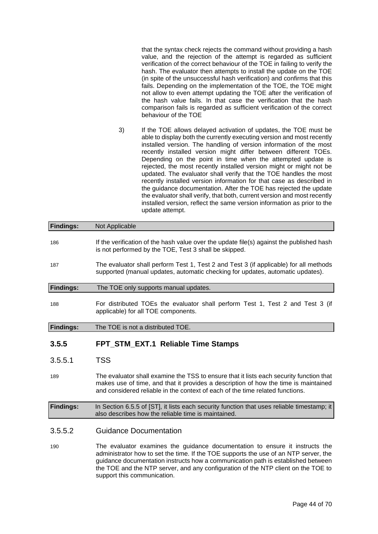that the syntax check rejects the command without providing a hash value, and the rejection of the attempt is regarded as sufficient verification of the correct behaviour of the TOE in failing to verify the hash. The evaluator then attempts to install the update on the TOE (in spite of the unsuccessful hash verification) and confirms that this fails. Depending on the implementation of the TOE, the TOE might not allow to even attempt updating the TOE after the verification of the hash value fails. In that case the verification that the hash comparison fails is regarded as sufficient verification of the correct behaviour of the TOE

3) If the TOE allows delayed activation of updates, the TOE must be able to display both the currently executing version and most recently installed version. The handling of version information of the most recently installed version might differ between different TOEs. Depending on the point in time when the attempted update is rejected, the most recently installed version might or might not be updated. The evaluator shall verify that the TOE handles the most recently installed version information for that case as described in the guidance documentation. After the TOE has rejected the update the evaluator shall verify, that both, current version and most recently installed version, reflect the same version information as prior to the update attempt.

| <b>Findings:</b> | Not Applicable                                                                                                                                                                                                                                                  |  |  |  |
|------------------|-----------------------------------------------------------------------------------------------------------------------------------------------------------------------------------------------------------------------------------------------------------------|--|--|--|
| 186              | If the verification of the hash value over the update file(s) against the published hash<br>is not performed by the TOE, Test 3 shall be skipped.                                                                                                               |  |  |  |
| 187              | The evaluator shall perform Test 1, Test 2 and Test 3 (if applicable) for all methods<br>supported (manual updates, automatic checking for updates, automatic updates).                                                                                         |  |  |  |
| <b>Findings:</b> | The TOE only supports manual updates.                                                                                                                                                                                                                           |  |  |  |
| 188              | For distributed TOEs the evaluator shall perform Test 1, Test 2 and Test 3 (if<br>applicable) for all TOE components.                                                                                                                                           |  |  |  |
| <b>Findings:</b> | The TOE is not a distributed TOE.                                                                                                                                                                                                                               |  |  |  |
| 3.5.5            | FPT_STM_EXT.1 Reliable Time Stamps                                                                                                                                                                                                                              |  |  |  |
| 3.5.5.1          | <b>TSS</b>                                                                                                                                                                                                                                                      |  |  |  |
| 189              | The evaluator shall examine the TSS to ensure that it lists each security function that<br>makes use of time, and that it provides a description of how the time is maintained<br>and considered reliable in the context of each of the time related functions. |  |  |  |
| <b>Findings:</b> | In Section 6.5.5 of [ST], it lists each security function that uses reliable timestamp; it<br>also describes how the reliable time is maintained.                                                                                                               |  |  |  |
| 3.5.5.2          | Guidance Documentation                                                                                                                                                                                                                                          |  |  |  |

190 The evaluator examines the guidance documentation to ensure it instructs the administrator how to set the time. If the TOE supports the use of an NTP server, the guidance documentation instructs how a communication path is established between the TOE and the NTP server, and any configuration of the NTP client on the TOE to support this communication.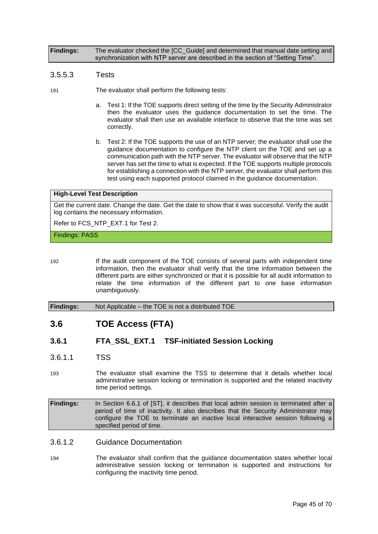**Findings:** The evaluator checked the [CC\_Guide] and determined that manual date setting and synchronization with NTP server are described in the section of "Setting Time".

#### 3.5.5.3 Tests

- 191 The evaluator shall perform the following tests:
	- a. Test 1: If the TOE supports direct setting of the time by the Security Administrator then the evaluator uses the guidance documentation to set the time. The evaluator shall then use an available interface to observe that the time was set correctly.
	- b. Test 2: If the TOE supports the use of an NTP server; the evaluator shall use the guidance documentation to configure the NTP client on the TOE and set up a communication path with the NTP server. The evaluator will observe that the NTP server has set the time to what is expected. If the TOE supports multiple protocols for establishing a connection with the NTP server, the evaluator shall perform this test using each supported protocol claimed in the guidance documentation.

#### **High-Level Test Description**

Get the current date. Change the date. Get the date to show that it was successful. Verify the audit log contains the necessary information.

Refer to FCS\_NTP\_EXT.1 for Test 2.

#### Findings: PASS

192 If the audit component of the TOE consists of several parts with independent time information, then the evaluator shall verify that the time information between the different parts are either synchronized or that it is possible for all audit information to relate the time information of the different part to one base information unambiguously.

#### <span id="page-44-0"></span>**Findings:** Not Applicable – the TOE is not a distributed TOE

## **3.6 TOE Access (FTA)**

## **3.6.1 FTA\_SSL\_EXT.1 TSF-initiated Session Locking**

3.6.1.1 TSS

193 The evaluator shall examine the TSS to determine that it details whether local administrative session locking or termination is supported and the related inactivity time period settings.

**Findings:** In Section 6.6.1 of [ST], it describes that local admin session is terminated after a period of time of inactivity. It also describes that the Security Administrator may configure the TOE to terminate an inactive local interactive session following a specified period of time.

#### 3.6.1.2 Guidance Documentation

194 The evaluator shall confirm that the guidance documentation states whether local administrative session locking or termination is supported and instructions for configuring the inactivity time period.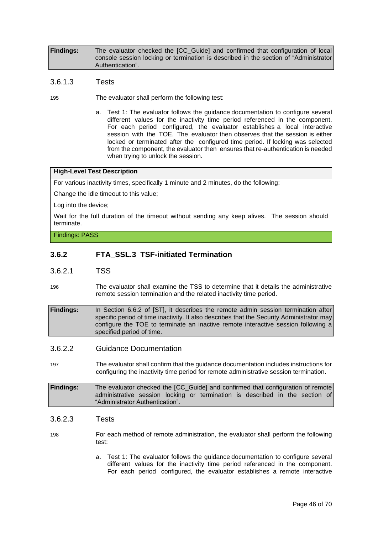**Findings:** The evaluator checked the [CC\_Guide] and confirmed that configuration of local console session locking or termination is described in the section of "Administrator Authentication".

- 3.6.1.3 Tests
- 195 The evaluator shall perform the following test:
	- a. Test 1: The evaluator follows the guidance documentation to configure several different values for the inactivity time period referenced in the component. For each period configured, the evaluator establishes a local interactive session with the TOE. The evaluator then observes that the session is either locked or terminated after the configured time period. If locking was selected from the component, the evaluator then ensures that re-authentication is needed when trying to unlock the session.

#### **High-Level Test Description**

For various inactivity times, specifically 1 minute and 2 minutes, do the following:

Change the idle timeout to this value;

Log into the device;

Wait for the full duration of the timeout without sending any keep alives. The session should terminate.

Findings: PASS

## **3.6.2 FTA\_SSL.3 TSF-initiated Termination**

- 3.6.2.1 TSS
- 196 The evaluator shall examine the TSS to determine that it details the administrative remote session termination and the related inactivity time period.

**Findings:** In Section 6.6.2 of [ST], it describes the remote admin session termination after specific period of time inactivity. It also describes that the Security Administrator may configure the TOE to terminate an inactive remote interactive session following a specified period of time.

#### 3.6.2.2 Guidance Documentation

197 The evaluator shall confirm that the guidance documentation includes instructions for configuring the inactivity time period for remote administrative session termination.

#### **Findings:** The evaluator checked the [CC\_Guide] and confirmed that configuration of remote administrative session locking or termination is described in the section of "Administrator Authentication".

#### 3.6.2.3 Tests

198 For each method of remote administration, the evaluator shall perform the following test:

> a. Test 1: The evaluator follows the guidance documentation to configure several different values for the inactivity time period referenced in the component. For each period configured, the evaluator establishes a remote interactive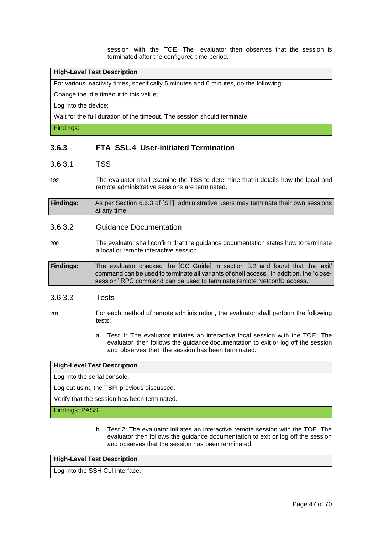session with the TOE. The evaluator then observes that the session is terminated after the configured time period.

#### **High-Level Test Description**

For various inactivity times, specifically 5 minutes and 6 minutes, do the following:

Change the idle timeout to this value;

Log into the device;

Wait for the full duration of the timeout. The session should terminate.

Findings:

## **3.6.3 FTA\_SSL.4 User-initiated Termination**

#### 3.6.3.1 TSS

199 The evaluator shall examine the TSS to determine that it details how the local and remote administrative sessions are terminated.

**Findings:** As per Section 6.6.3 of [ST], administrative users may terminate their own sessions at any time.

#### 3.6.3.2 Guidance Documentation

200 The evaluator shall confirm that the guidance documentation states how to terminate a local or remote interactive session.

**Findings:** The evaluator checked the [CC\_Guide] in section 3.2 and found that the 'exit' command can be used to terminate all variants of shell access. In addition, the "closesession" RPC command can be used to terminate remote NetconfD access.

#### 3.6.3.3 Tests

- 201 For each method of remote administration, the evaluator shall perform the following tests:
	- a. Test 1: The evaluator initiates an interactive local session with the TOE. The evaluator then follows the guidance documentation to exit or log off the session and observes that the session has been terminated.

#### **High-Level Test Description**

Log into the serial console.

Log out using the TSFI previous discussed.

Verify that the session has been terminated.

Findings: PASS

b. Test 2: The evaluator initiates an interactive remote session with the TOE. The evaluator then follows the guidance documentation to exit or log off the session and observes that the session has been terminated.

#### **High-Level Test Description**

Log into the SSH CLI interface.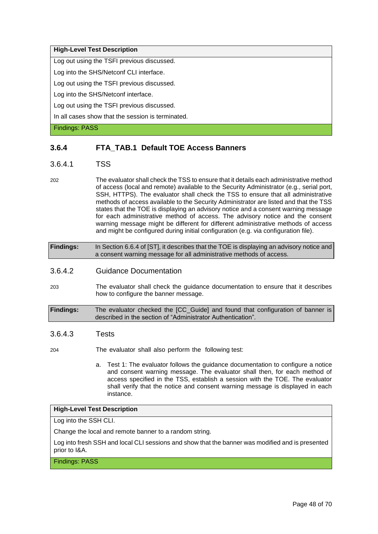#### **High-Level Test Description**

Log out using the TSFI previous discussed.

Log into the SHS/Netconf CLI interface.

Log out using the TSFI previous discussed.

Log into the SHS/Netconf interface.

Log out using the TSFI previous discussed.

In all cases show that the session is terminated.

Findings: PASS

## **3.6.4 FTA\_TAB.1 Default TOE Access Banners**

#### 3.6.4.1 TSS

202 The evaluator shall check the TSS to ensure that it details each administrative method of access (local and remote) available to the Security Administrator (e.g., serial port, SSH, HTTPS). The evaluator shall check the TSS to ensure that all administrative methods of access available to the Security Administrator are listed and that the TSS states that the TOE is displaying an advisory notice and a consent warning message for each administrative method of access. The advisory notice and the consent warning message might be different for different administrative methods of access and might be configured during initial configuration (e.g. via configuration file).

| <b>Findings:</b> | In Section 6.6.4 of [ST], it describes that the TOE is displaying an advisory notice and |
|------------------|------------------------------------------------------------------------------------------|
|                  | a consent warning message for all administrative methods of access.                      |

#### 3.6.4.2 Guidance Documentation

203 The evaluator shall check the guidance documentation to ensure that it describes how to configure the banner message.

**Findings:** The evaluator checked the [CC\_Guide] and found that configuration of banner is described in the section of "Administrator Authentication".

#### 3.6.4.3 Tests

204 The evaluator shall also perform the following test:

a. Test 1: The evaluator follows the guidance documentation to configure a notice and consent warning message. The evaluator shall then, for each method of access specified in the TSS, establish a session with the TOE. The evaluator shall verify that the notice and consent warning message is displayed in each instance.

## **High-Level Test Description**

Log into the SSH CLI.

Change the local and remote banner to a random string.

Log into fresh SSH and local CLI sessions and show that the banner was modified and is presented prior to I&A.

Findings: PASS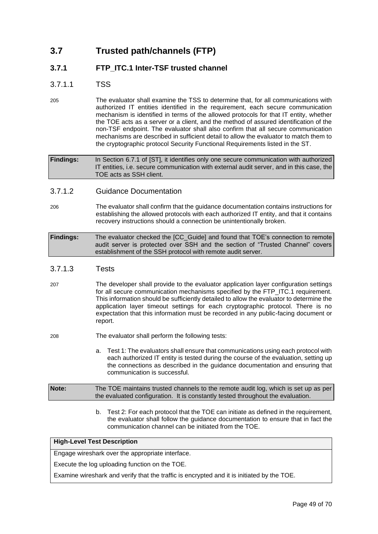## <span id="page-48-0"></span>**3.7 Trusted path/channels (FTP)**

## **3.7.1 FTP\_ITC.1 Inter-TSF trusted channel**

## 3.7.1.1 TSS

205 The evaluator shall examine the TSS to determine that, for all communications with authorized IT entities identified in the requirement, each secure communication mechanism is identified in terms of the allowed protocols for that IT entity, whether the TOE acts as a server or a client, and the method of assured identification of the non-TSF endpoint. The evaluator shall also confirm that all secure communication mechanisms are described in sufficient detail to allow the evaluator to match them to the cryptographic protocol Security Functional Requirements listed in the ST.

**Findings:** In Section 6.7.1 of [ST], it identifies only one secure communication with authorized IT entities, i.e. secure communication with external audit server, and in this case, the TOE acts as SSH client.

## 3.7.1.2 Guidance Documentation

- 206 The evaluator shall confirm that the guidance documentation contains instructions for establishing the allowed protocols with each authorized IT entity, and that it contains recovery instructions should a connection be unintentionally broken.
- **Findings:** The evaluator checked the [CC\_Guide] and found that TOE's connection to remote audit server is protected over SSH and the section of "Trusted Channel" covers establishment of the SSH protocol with remote audit server.

## 3.7.1.3 Tests

- 207 The developer shall provide to the evaluator application layer configuration settings for all secure communication mechanisms specified by the FTP\_ITC.1 requirement. This information should be sufficiently detailed to allow the evaluator to determine the application layer timeout settings for each cryptographic protocol. There is no expectation that this information must be recorded in any public-facing document or report.
- 208 The evaluator shall perform the following tests:
	- a. Test 1: The evaluators shall ensure that communications using each protocol with each authorized IT entity is tested during the course of the evaluation, setting up the connections as described in the guidance documentation and ensuring that communication is successful.

**Note:** The TOE maintains trusted channels to the remote audit log, which is set up as per the evaluated configuration. It is constantly tested throughout the evaluation.

> b. Test 2: For each protocol that the TOE can initiate as defined in the requirement, the evaluator shall follow the guidance documentation to ensure that in fact the communication channel can be initiated from the TOE.

#### **High-Level Test Description**

Engage wireshark over the appropriate interface.

Execute the log uploading function on the TOE.

Examine wireshark and verify that the traffic is encrypted and it is initiated by the TOE.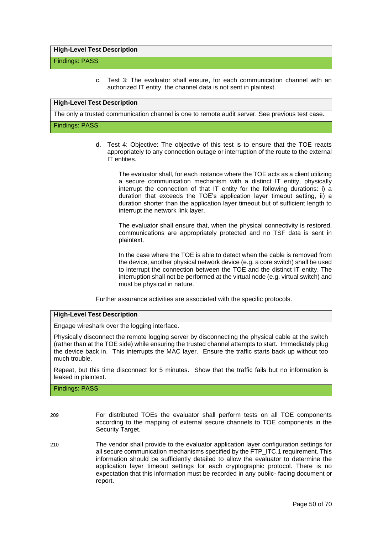#### **High-Level Test Description**

#### Findings: PASS

c. Test 3: The evaluator shall ensure, for each communication channel with an authorized IT entity, the channel data is not sent in plaintext.

#### **High-Level Test Description**

The only a trusted communication channel is one to remote audit server. See previous test case.

#### Findings: PASS

d. Test 4: Objective: The objective of this test is to ensure that the TOE reacts appropriately to any connection outage or interruption of the route to the external IT entities.

The evaluator shall, for each instance where the TOE acts as a client utilizing a secure communication mechanism with a distinct IT entity, physically interrupt the connection of that IT entity for the following durations: i) a duration that exceeds the TOE's application layer timeout setting, ii) a duration shorter than the application layer timeout but of sufficient length to interrupt the network link layer.

The evaluator shall ensure that, when the physical connectivity is restored, communications are appropriately protected and no TSF data is sent in plaintext.

In the case where the TOE is able to detect when the cable is removed from the device, another physical network device (e.g. a core switch) shall be used to interrupt the connection between the TOE and the distinct IT entity. The interruption shall not be performed at the virtual node (e.g. virtual switch) and must be physical in nature.

Further assurance activities are associated with the specific protocols.

#### **High-Level Test Description**

Engage wireshark over the logging interface.

Physically disconnect the remote logging server by disconnecting the physical cable at the switch (rather than at the TOE side) while ensuring the trusted channel attempts to start. Immediately plug the device back in. This interrupts the MAC layer. Ensure the traffic starts back up without too much trouble.

Repeat, but this time disconnect for 5 minutes. Show that the traffic fails but no information is leaked in plaintext.

#### Findings: PASS

- 209 For distributed TOEs the evaluator shall perform tests on all TOE components according to the mapping of external secure channels to TOE components in the Security Target.
- 210 The vendor shall provide to the evaluator application layer configuration settings for all secure communication mechanisms specified by the FTP\_ITC.1 requirement. This information should be sufficiently detailed to allow the evaluator to determine the application layer timeout settings for each cryptographic protocol. There is no expectation that this information must be recorded in any public- facing document or report.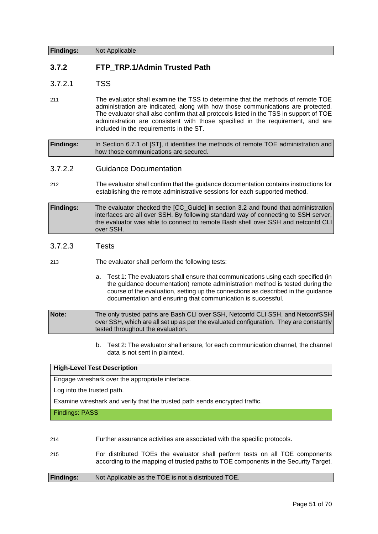**Findings:** Not Applicable

## **3.7.2 FTP\_TRP.1/Admin Trusted Path**

### 3.7.2.1 TSS

211 The evaluator shall examine the TSS to determine that the methods of remote TOE administration are indicated, along with how those communications are protected. The evaluator shall also confirm that all protocols listed in the TSS in support of TOE administration are consistent with those specified in the requirement, and are included in the requirements in the ST.

**Findings:** In Section 6.7.1 of [ST], it identifies the methods of remote TOE administration and how those communications are secured.

3.7.2.2 Guidance Documentation

212 The evaluator shall confirm that the guidance documentation contains instructions for establishing the remote administrative sessions for each supported method.

**Findings:** The evaluator checked the [CC\_Guide] in section 3.2 and found that administration interfaces are all over SSH. By following standard way of connecting to SSH server, the evaluator was able to connect to remote Bash shell over SSH and netconfd CLI over SSH.

## 3.7.2.3 Tests

213 The evaluator shall perform the following tests:

a. Test 1: The evaluators shall ensure that communications using each specified (in the guidance documentation) remote administration method is tested during the course of the evaluation, setting up the connections as described in the guidance documentation and ensuring that communication is successful.

**Note:** The only trusted paths are Bash CLI over SSH, Netconfd CLI SSH, and NetconfSSH over SSH, which are all set up as per the evaluated configuration. They are constantly tested throughout the evaluation.

> b. Test 2: The evaluator shall ensure, for each communication channel, the channel data is not sent in plaintext.

#### **High-Level Test Description**

Engage wireshark over the appropriate interface.

Log into the trusted path.

Examine wireshark and verify that the trusted path sends encrypted traffic.

Findings: PASS

#### 214 Further assurance activities are associated with the specific protocols.

215 For distributed TOEs the evaluator shall perform tests on all TOE components according to the mapping of trusted paths to TOE components in the Security Target.

## **Findings:** Not Applicable as the TOE is not a distributed TOE.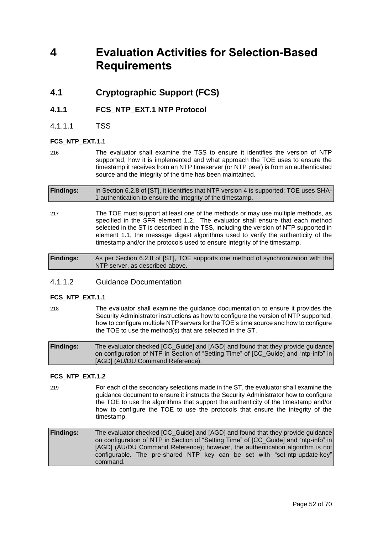## <span id="page-51-1"></span><span id="page-51-0"></span>**4 Evaluation Activities for Selection-Based Requirements**

## **4.1 Cryptographic Support (FCS)**

## **4.1.1 FCS\_NTP\_EXT.1 NTP Protocol**

4.1.1.1 TSS

#### **FCS\_NTP\_EXT.1.1**

216 The evaluator shall examine the TSS to ensure it identifies the version of NTP supported, how it is implemented and what approach the TOE uses to ensure the timestamp it receives from an NTP timeserver (or NTP peer) is from an authenticated source and the integrity of the time has been maintained.

| <b>Findings:</b> | In Section 6.2.8 of [ST], it identifies that NTP version 4 is supported; TOE uses SHA- |
|------------------|----------------------------------------------------------------------------------------|
|                  | 1 authentication to ensure the integrity of the timestamp.                             |

217 The TOE must support at least one of the methods or may use multiple methods, as specified in the SFR element 1.2. The evaluator shall ensure that each method selected in the ST is described in the TSS, including the version of NTP supported in element 1.1, the message digest algorithms used to verify the authenticity of the timestamp and/or the protocols used to ensure integrity of the timestamp.

**Findings:** As per Section 6.2.8 of [ST], TOE supports one method of synchronization with the NTP server, as described above.

## 4.1.1.2 Guidance Documentation

#### FCS\_NTP\_EXT.1.1

218 The evaluator shall examine the guidance documentation to ensure it provides the Security Administrator instructions as how to configure the version of NTP supported, how to configure multiple NTP servers for the TOE's time source and how to configure the TOE to use the method(s) that are selected in the ST.

**Findings:** The evaluator checked [CC\_Guide] and [AGD] and found that they provide guidance on configuration of NTP in Section of "Setting Time" of [CC\_Guide] and "ntp-info" in [AGD] (AU/DU Command Reference).

#### **FCS\_NTP\_EXT.1.2**

- 219 For each of the secondary selections made in the ST, the evaluator shall examine the guidance document to ensure it instructs the Security Administrator how to configure the TOE to use the algorithms that support the authenticity of the timestamp and/or how to configure the TOE to use the protocols that ensure the integrity of the timestamp.
- **Findings:** The evaluator checked [CC\_Guide] and [AGD] and found that they provide guidance on configuration of NTP in Section of "Setting Time" of [CC\_Guide] and "ntp-info" in [AGD] (AU/DU Command Reference); however, the authentication algorithm is not configurable. The pre-shared NTP key can be set with "set-ntp-update-key" command.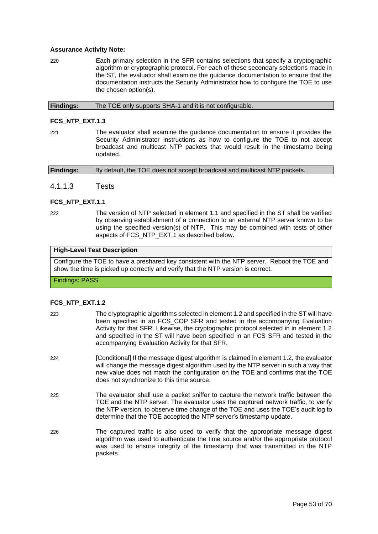#### **Assurance Activity Note:**

220 Each primary selection in the SFR contains selections that specify a cryptographic algorithm or cryptographic protocol. For each of these secondary selections made in the ST, the evaluator shall examine the guidance documentation to ensure that the documentation instructs the Security Administrator how to configure the TOE to use the chosen option(s).

**Findings:** The TOE only supports SHA-1 and it is not configurable.

#### **FCS\_NTP\_EXT.1.3**

221 The evaluator shall examine the guidance documentation to ensure it provides the Security Administrator instructions as how to configure the TOE to not accept broadcast and multicast NTP packets that would result in the timestamp being updated.

| <b>Findings:</b> | By default, the TOE does not accept broadcast and multicast NTP packets. |  |
|------------------|--------------------------------------------------------------------------|--|
|                  |                                                                          |  |

#### 4.1.1.3 Tests

#### **FCS\_NTP\_EXT.1.1**

222 The version of NTP selected in element 1.1 and specified in the ST shall be verified by observing establishment of a connection to an external NTP server known to be using the specified version(s) of NTP. This may be combined with tests of other aspects of FCS\_NTP\_EXT.1 as described below.

#### **High-Level Test Description**

Configure the TOE to have a preshared key consistent with the NTP server. Reboot the TOE and show the time is picked up correctly and verify that the NTP version is correct.

Findings: PASS

#### **FCS\_NTP\_EXT.1.2**

- 223 The cryptographic algorithms selected in element 1.2 and specified in the ST will have been specified in an FCS\_COP SFR and tested in the accompanying Evaluation Activity for that SFR. Likewise, the cryptographic protocol selected in in element 1.2 and specified in the ST will have been specified in an FCS SFR and tested in the accompanying Evaluation Activity for that SFR.
- 224 [Conditional] If the message digest algorithm is claimed in element 1.2, the evaluator will change the message digest algorithm used by the NTP server in such a way that new value does not match the configuration on the TOE and confirms that the TOE does not synchronize to this time source.
- 225 The evaluator shall use a packet sniffer to capture the network traffic between the TOE and the NTP server. The evaluator uses the captured network traffic, to verify the NTP version, to observe time change of the TOE and uses the TOE's audit log to determine that the TOE accepted the NTP server's timestamp update.
- 226 The captured traffic is also used to verify that the appropriate message digest algorithm was used to authenticate the time source and/or the appropriate protocol was used to ensure integrity of the timestamp that was transmitted in the NTP packets.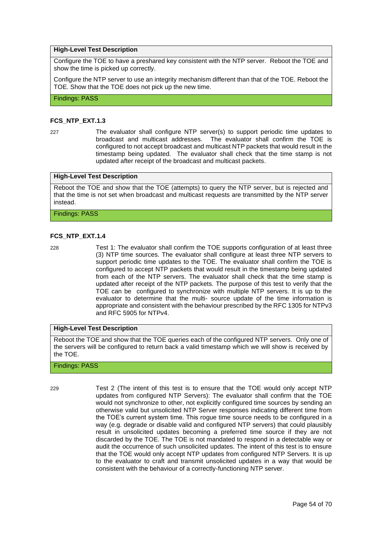#### **High-Level Test Description**

Configure the TOE to have a preshared key consistent with the NTP server. Reboot the TOE and show the time is picked up correctly.

Configure the NTP server to use an integrity mechanism different than that of the TOE. Reboot the TOE. Show that the TOE does not pick up the new time.

Findings: PASS

#### **FCS\_NTP\_EXT.1.3**

- 
- 227 The evaluator shall configure NTP server(s) to support periodic time updates to broadcast and multicast addresses. The evaluator shall confirm the TOE is configured to not accept broadcast and multicast NTP packets that would result in the timestamp being updated. The evaluator shall check that the time stamp is not updated after receipt of the broadcast and multicast packets.

#### **High-Level Test Description**

Reboot the TOE and show that the TOE (attempts) to query the NTP server, but is rejected and that the time is not set when broadcast and multicast requests are transmitted by the NTP server instead.

Findings: PASS

#### **FCS\_NTP\_EXT.1.4**

228 Test 1: The evaluator shall confirm the TOE supports configuration of at least three (3) NTP time sources. The evaluator shall configure at least three NTP servers to support periodic time updates to the TOE. The evaluator shall confirm the TOE is configured to accept NTP packets that would result in the timestamp being updated from each of the NTP servers. The evaluator shall check that the time stamp is updated after receipt of the NTP packets. The purpose of this test to verify that the TOE can be configured to synchronize with multiple NTP servers. It is up to the evaluator to determine that the multi- source update of the time information is appropriate and consistent with the behaviour prescribed by the RFC 1305 for NTPv3 and RFC 5905 for NTPv4.

#### **High-Level Test Description**

Reboot the TOE and show that the TOE queries each of the configured NTP servers. Only one of the servers will be configured to return back a valid timestamp which we will show is received by the TOE.

#### Findings: PASS

229 Test 2 (The intent of this test is to ensure that the TOE would only accept NTP updates from configured NTP Servers): The evaluator shall confirm that the TOE would not synchronize to other, not explicitly configured time sources by sending an otherwise valid but unsolicited NTP Server responses indicating different time from the TOE's current system time. This rogue time source needs to be configured in a way (e.g. degrade or disable valid and configured NTP servers) that could plausibly result in unsolicited updates becoming a preferred time source if they are not discarded by the TOE. The TOE is not mandated to respond in a detectable way or audit the occurrence of such unsolicited updates. The intent of this test is to ensure that the TOE would only accept NTP updates from configured NTP Servers. It is up to the evaluator to craft and transmit unsolicited updates in a way that would be consistent with the behaviour of a correctly-functioning NTP server.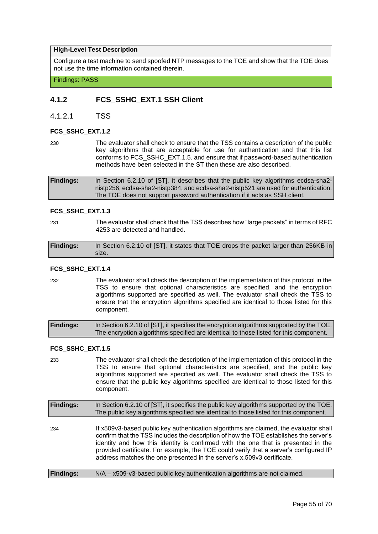#### **High-Level Test Description**

Configure a test machine to send spoofed NTP messages to the TOE and show that the TOE does not use the time information contained therein.

Findings: PASS

## **4.1.2 FCS\_SSHC\_EXT.1 SSH Client**

4.1.2.1 TSS

#### **FCS\_SSHC\_EXT.1.2**

230 The evaluator shall check to ensure that the TSS contains a description of the public key algorithms that are acceptable for use for authentication and that this list conforms to FCS\_SSHC\_EXT.1.5. and ensure that if password-based authentication methods have been selected in the ST then these are also described.

#### **FCS\_SSHC\_EXT.1.3**

231 The evaluator shall check that the TSS describes how "large packets" in terms of RFC 4253 are detected and handled.

| <b>Findings:</b> | In Section 6.2.10 of [ST], it states that TOE drops the packet larger than 256KB in |
|------------------|-------------------------------------------------------------------------------------|
|                  | size.                                                                               |

#### **FCS\_SSHC\_EXT.1.4**

232 The evaluator shall check the description of the implementation of this protocol in the TSS to ensure that optional characteristics are specified, and the encryption algorithms supported are specified as well. The evaluator shall check the TSS to ensure that the encryption algorithms specified are identical to those listed for this component.

| <b>Findings:</b> | In Section 6.2.10 of [ST], it specifies the encryption algorithms supported by the TOE. |
|------------------|-----------------------------------------------------------------------------------------|
|                  | The encryption algorithms specified are identical to those listed for this component.   |

#### **FCS\_SSHC\_EXT.1.5**

233 The evaluator shall check the description of the implementation of this protocol in the TSS to ensure that optional characteristics are specified, and the public key algorithms supported are specified as well. The evaluator shall check the TSS to ensure that the public key algorithms specified are identical to those listed for this component.

| <b>Findings:</b> | In Section 6.2.10 of [ST], it specifies the public key algorithms supported by the TOE.<br>The public key algorithms specified are identical to those listed for this component.                                                                                                                                                                                                                                                       |
|------------------|----------------------------------------------------------------------------------------------------------------------------------------------------------------------------------------------------------------------------------------------------------------------------------------------------------------------------------------------------------------------------------------------------------------------------------------|
| 234              | If x509v3-based public key authentication algorithms are claimed, the evaluator shall<br>confirm that the TSS includes the description of how the TOE establishes the server's<br>identity and how this identity is confirmed with the one that is presented in the<br>provided certificate. For example, the TOE could verify that a server's configured IP<br>address matches the one presented in the server's x.509v3 certificate. |
| <b>Findings:</b> | N/A - x509-v3-based public key authentication algorithms are not claimed.                                                                                                                                                                                                                                                                                                                                                              |

**Findings:** In Section 6.2.10 of [ST], it describes that the public key algorithms ecdsa-sha2 nistp256, ecdsa-sha2-nistp384, and ecdsa-sha2-nistp521 are used for authentication. The TOE does not support password authentication if it acts as SSH client.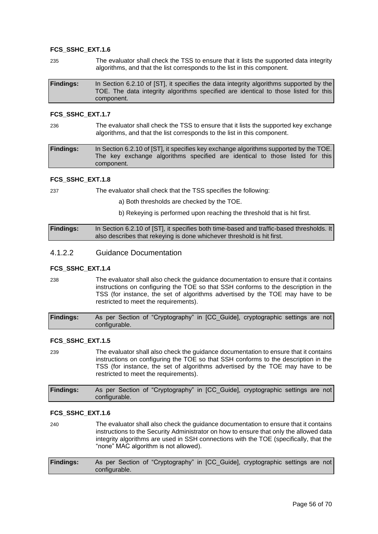#### **FCS\_SSHC\_EXT.1.6**

235 The evaluator shall check the TSS to ensure that it lists the supported data integrity algorithms, and that the list corresponds to the list in this component.

| <b>Findings:</b> | In Section 6.2.10 of [ST], it specifies the data integrity algorithms supported by the |
|------------------|----------------------------------------------------------------------------------------|
|                  | TOE. The data integrity algorithms specified are identical to those listed for this    |
|                  | component.                                                                             |

#### **FCS\_SSHC\_EXT.1.7**

236 The evaluator shall check the TSS to ensure that it lists the supported key exchange algorithms, and that the list corresponds to the list in this component.

**Findings:** In Section 6.2.10 of [ST], it specifies key exchange algorithms supported by the TOE. The key exchange algorithms specified are identical to those listed for this component.

#### **FCS\_SSHC\_EXT.1.8**

237 The evaluator shall check that the TSS specifies the following:

- a) Both thresholds are checked by the TOE.
- b) Rekeying is performed upon reaching the threshold that is hit first.

**Findings:** In Section 6.2.10 of [ST], it specifies both time-based and traffic-based thresholds. It also describes that rekeying is done whichever threshold is hit first.

#### 4.1.2.2 Guidance Documentation

#### **FCS\_SSHC\_EXT.1.4**

238 The evaluator shall also check the guidance documentation to ensure that it contains instructions on configuring the TOE so that SSH conforms to the description in the TSS (for instance, the set of algorithms advertised by the TOE may have to be restricted to meet the requirements).

**Findings:** As per Section of "Cryptography" in [CC\_Guide], cryptographic settings are not configurable.

#### **FCS\_SSHC\_EXT.1.5**

239 The evaluator shall also check the guidance documentation to ensure that it contains instructions on configuring the TOE so that SSH conforms to the description in the TSS (for instance, the set of algorithms advertised by the TOE may have to be restricted to meet the requirements).

| <b>Findings:</b> | As per Section of "Cryptography" in [CC_Guide], cryptographic settings are not |  |  |  |
|------------------|--------------------------------------------------------------------------------|--|--|--|
|                  | configurable.                                                                  |  |  |  |

#### **FCS\_SSHC\_EXT.1.6**

240 The evaluator shall also check the guidance documentation to ensure that it contains instructions to the Security Administrator on how to ensure that only the allowed data integrity algorithms are used in SSH connections with the TOE (specifically, that the "none" MAC algorithm is not allowed).

| <b>Findings:</b> | As per Section of "Cryptography" in [CC Guide], cryptographic settings are not |  |  |
|------------------|--------------------------------------------------------------------------------|--|--|
|                  | configurable.                                                                  |  |  |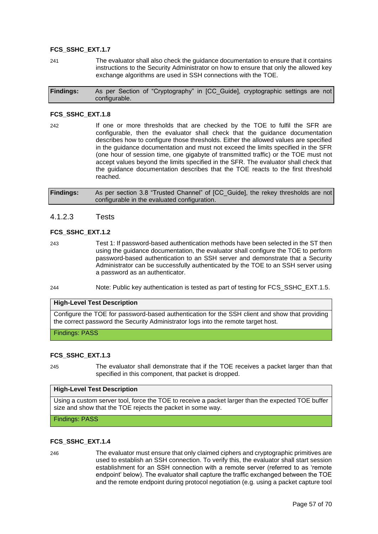#### **FCS\_SSHC\_EXT.1.7**

241 The evaluator shall also check the guidance documentation to ensure that it contains instructions to the Security Administrator on how to ensure that only the allowed key exchange algorithms are used in SSH connections with the TOE.

| <b>Findings:</b> |               | As per Section of "Cryptography" in [CC_Guide], cryptographic settings are not |  |  |  |
|------------------|---------------|--------------------------------------------------------------------------------|--|--|--|
|                  | configurable. |                                                                                |  |  |  |

#### **FCS\_SSHC\_EXT.1.8**

242 If one or more thresholds that are checked by the TOE to fulfil the SFR are configurable, then the evaluator shall check that the guidance documentation describes how to configure those thresholds. Either the allowed values are specified in the guidance documentation and must not exceed the limits specified in the SFR (one hour of session time, one gigabyte of transmitted traffic) or the TOE must not accept values beyond the limits specified in the SFR. The evaluator shall check that the guidance documentation describes that the TOE reacts to the first threshold reached.

**Findings:** As per section 3.8 "Trusted Channel" of [CC\_Guide], the rekey thresholds are not configurable in the evaluated configuration.

#### 4.1.2.3 Tests

#### **FCS\_SSHC\_EXT.1.2**

- 243 Test 1: If password-based authentication methods have been selected in the ST then using the guidance documentation, the evaluator shall configure the TOE to perform password-based authentication to an SSH server and demonstrate that a Security Administrator can be successfully authenticated by the TOE to an SSH server using a password as an authenticator.
- 244 Note: Public key authentication is tested as part of testing for FCS\_SSHC\_EXT.1.5.

#### **High-Level Test Description**

Configure the TOE for password-based authentication for the SSH client and show that providing the correct password the Security Administrator logs into the remote target host.

Findings: PASS

#### **FCS\_SSHC\_EXT.1.3**

245 The evaluator shall demonstrate that if the TOE receives a packet larger than that specified in this component, that packet is dropped.

#### **High-Level Test Description**

Using a custom server tool, force the TOE to receive a packet larger than the expected TOE buffer size and show that the TOE rejects the packet in some way.

Findings: PASS

#### **FCS\_SSHC\_EXT.1.4**

246 The evaluator must ensure that only claimed ciphers and cryptographic primitives are used to establish an SSH connection. To verify this, the evaluator shall start session establishment for an SSH connection with a remote server (referred to as 'remote endpoint' below). The evaluator shall capture the traffic exchanged between the TOE and the remote endpoint during protocol negotiation (e.g. using a packet capture tool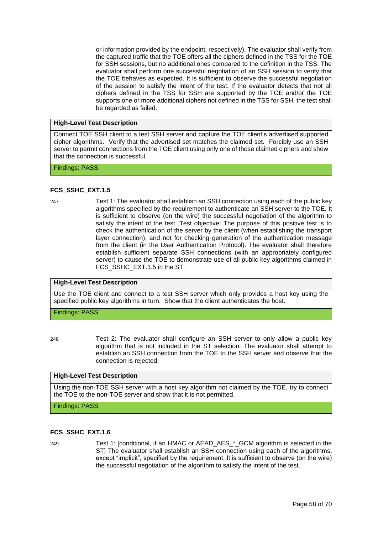or information provided by the endpoint, respectively). The evaluator shall verify from the captured traffic that the TOE offers all the ciphers defined in the TSS for the TOE for SSH sessions, but no additional ones compared to the definition in the TSS. The evaluator shall perform one successful negotiation of an SSH session to verify that the TOE behaves as expected. It is sufficient to observe the successful negotiation of the session to satisfy the intent of the test. If the evaluator detects that not all ciphers defined in the TSS for SSH are supported by the TOE and/or the TOE supports one or more additional ciphers not defined in the TSS for SSH, the test shall be regarded as failed.

#### **High-Level Test Description**

Connect TOE SSH client to a test SSH server and capture the TOE client's advertised supported cipher algorithms. Verify that the advertised set matches the claimed set. Forcibly use an SSH server to permit connections from the TOE client using only one of those claimed ciphers and show that the connection is successful.

#### Findings: PASS

#### **FCS\_SSHC\_EXT.1.5**

247 Test 1: The evaluator shall establish an SSH connection using each of the public key algorithms specified by the requirement to authenticate an SSH server to the TOE. It is sufficient to observe (on the wire) the successful negotiation of the algorithm to satisfy the intent of the test. Test objective: The purpose of this positive test is to check the authentication of the server by the client (when establishing the transport layer connection), and not for checking generation of the authentication message from the client (in the User Authentication Protocol). The evaluator shall therefore establish sufficient separate SSH connections (with an appropriately configured server) to cause the TOE to demonstrate use of all public key algorithms claimed in FCS\_SSHC\_EXT.1.5 in the ST.

#### **High-Level Test Description**

Use the TOE client and connect to a test SSH server which only provides a host key using the specified public key algorithms in turn. Show that the client authenticates the host.

#### Findings: PASS

248 Test 2: The evaluator shall configure an SSH server to only allow a public key algorithm that is not included in the ST selection. The evaluator shall attempt to establish an SSH connection from the TOE to the SSH server and observe that the connection is rejected.

#### **High-Level Test Description**

Using the non-TOE SSH server with a host key algorithm not claimed by the TOE, try to connect the TOE to the non-TOE server and show that it is not permitted.

Findings: PASS

#### **FCS\_SSHC\_EXT.1.6**

249 Test 1: [conditional, if an HMAC or AEAD\_AES\_\*\_GCM algorithm is selected in the ST] The evaluator shall establish an SSH connection using each of the algorithms, except "implicit", specified by the requirement. It is sufficient to observe (on the wire) the successful negotiation of the algorithm to satisfy the intent of the test.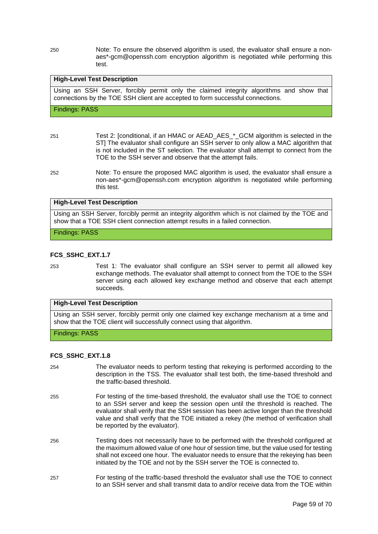250 Note: To ensure the observed algorithm is used, the evaluator shall ensure a nonaes\*-gcm@openssh.com encryption algorithm is negotiated while performing this test.

#### **High-Level Test Description**

Using an SSH Server, forcibly permit only the claimed integrity algorithms and show that connections by the TOE SSH client are accepted to form successful connections.

Findings: PASS

- 251 Test 2: [conditional, if an HMAC or AEAD\_AES\_\*\_GCM algorithm is selected in the ST] The evaluator shall configure an SSH server to only allow a MAC algorithm that is not included in the ST selection. The evaluator shall attempt to connect from the TOE to the SSH server and observe that the attempt fails.
- 252 Note: To ensure the proposed MAC algorithm is used, the evaluator shall ensure a non-aes\*-gcm@openssh.com encryption algorithm is negotiated while performing this test.

#### **High-Level Test Description**

Using an SSH Server, forcibly permit an integrity algorithm which is not claimed by the TOE and show that a TOE SSH client connection attempt results in a failed connection.

Findings: PASS

#### **FCS\_SSHC\_EXT.1.7**

253 Test 1: The evaluator shall configure an SSH server to permit all allowed key exchange methods. The evaluator shall attempt to connect from the TOE to the SSH server using each allowed key exchange method and observe that each attempt succeeds.

#### **High-Level Test Description**

Using an SSH server, forcibly permit only one claimed key exchange mechanism at a time and show that the TOE client will successfully connect using that algorithm.

Findings: PASS

#### **FCS\_SSHC\_EXT.1.8**

- 254 The evaluator needs to perform testing that rekeying is performed according to the description in the TSS. The evaluator shall test both, the time-based threshold and the traffic-based threshold.
- 255 For testing of the time-based threshold, the evaluator shall use the TOE to connect to an SSH server and keep the session open until the threshold is reached. The evaluator shall verify that the SSH session has been active longer than the threshold value and shall verify that the TOE initiated a rekey (the method of verification shall be reported by the evaluator).
- 256 Testing does not necessarily have to be performed with the threshold configured at the maximum allowed value of one hour of session time, but the value used for testing shall not exceed one hour. The evaluator needs to ensure that the rekeying has been initiated by the TOE and not by the SSH server the TOE is connected to.
- 257 For testing of the traffic-based threshold the evaluator shall use the TOE to connect to an SSH server and shall transmit data to and/or receive data from the TOE within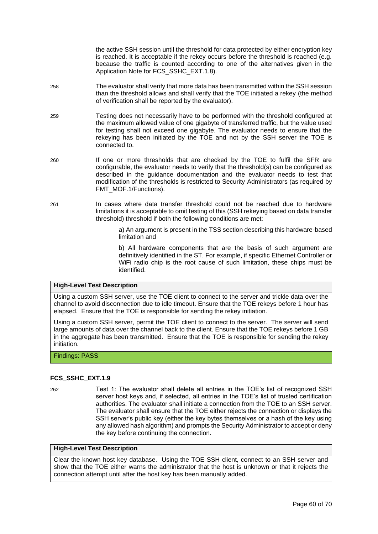the active SSH session until the threshold for data protected by either encryption key is reached. It is acceptable if the rekey occurs before the threshold is reached (e.g. because the traffic is counted according to one of the alternatives given in the Application Note for FCS\_SSHC\_EXT.1.8).

- 258 The evaluator shall verify that more data has been transmitted within the SSH session than the threshold allows and shall verify that the TOE initiated a rekey (the method of verification shall be reported by the evaluator).
- 259 Testing does not necessarily have to be performed with the threshold configured at the maximum allowed value of one gigabyte of transferred traffic, but the value used for testing shall not exceed one gigabyte. The evaluator needs to ensure that the rekeying has been initiated by the TOE and not by the SSH server the TOE is connected to.
- 260 If one or more thresholds that are checked by the TOE to fulfil the SFR are configurable, the evaluator needs to verify that the threshold(s) can be configured as described in the guidance documentation and the evaluator needs to test that modification of the thresholds is restricted to Security Administrators (as required by FMT\_MOF.1/Functions).
- 261 In cases where data transfer threshold could not be reached due to hardware limitations it is acceptable to omit testing of this (SSH rekeying based on data transfer threshold) threshold if both the following conditions are met:
	- a) An argument is present in the TSS section describing this hardware-based limitation and

b) All hardware components that are the basis of such argument are definitively identified in the ST. For example, if specific Ethernet Controller or WiFi radio chip is the root cause of such limitation, these chips must be identified.

#### **High-Level Test Description**

Using a custom SSH server, use the TOE client to connect to the server and trickle data over the channel to avoid disconnection due to idle timeout. Ensure that the TOE rekeys before 1 hour has elapsed. Ensure that the TOE is responsible for sending the rekey initiation.

Using a custom SSH server, permit the TOE client to connect to the server. The server will send large amounts of data over the channel back to the client. Ensure that the TOE rekeys before 1 GB in the aggregate has been transmitted. Ensure that the TOE is responsible for sending the rekey initiation.

Findings: PASS

#### **FCS\_SSHC\_EXT.1.9**

262 Test 1: The evaluator shall delete all entries in the TOE's list of recognized SSH server host keys and, if selected, all entries in the TOE's list of trusted certification authorities. The evaluator shall initiate a connection from the TOE to an SSH server. The evaluator shall ensure that the TOE either rejects the connection or displays the SSH server's public key (either the key bytes themselves or a hash of the key using any allowed hash algorithm) and prompts the Security Administrator to accept or deny the key before continuing the connection.

#### **High-Level Test Description**

Clear the known host key database. Using the TOE SSH client, connect to an SSH server and show that the TOE either warns the administrator that the host is unknown or that it rejects the connection attempt until after the host key has been manually added.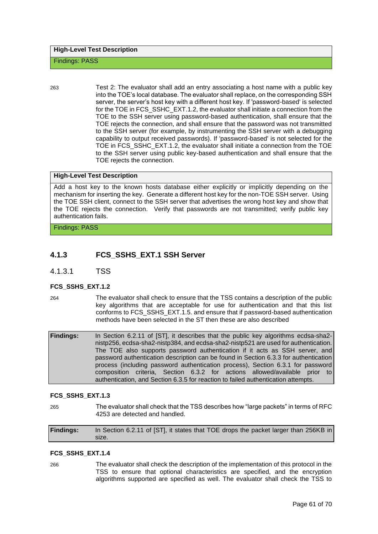#### Findings: PASS

263 Test 2: The evaluator shall add an entry associating a host name with a public key into the TOE's local database. The evaluator shall replace, on the corresponding SSH server, the server's host key with a different host key. If 'password-based' is selected for the TOE in FCS\_SSHC\_EXT.1.2, the evaluator shall initiate a connection from the TOE to the SSH server using password-based authentication, shall ensure that the TOE rejects the connection, and shall ensure that the password was not transmitted to the SSH server (for example, by instrumenting the SSH server with a debugging capability to output received passwords). If 'password-based' is not selected for the TOE in FCS\_SSHC\_EXT.1.2, the evaluator shall initiate a connection from the TOE to the SSH server using public key-based authentication and shall ensure that the TOE rejects the connection.

#### **High-Level Test Description**

Add a host key to the known hosts database either explicitly or implicitly depending on the mechanism for inserting the key. Generate a different host key for the non-TOE SSH server. Using the TOE SSH client, connect to the SSH server that advertises the wrong host key and show that the TOE rejects the connection. Verify that passwords are not transmitted; verify public key authentication fails.

Findings: PASS

## **4.1.3 FCS\_SSHS\_EXT.1 SSH Server**

4.1.3.1 TSS

#### **FCS\_SSHS\_EXT.1.2**

264 The evaluator shall check to ensure that the TSS contains a description of the public key algorithms that are acceptable for use for authentication and that this list conforms to FCS\_SSHS\_EXT.1.5. and ensure that if password-based authentication methods have been selected in the ST then these are also described

| <b>Findings:</b> | In Section 6.2.11 of [ST], it describes that the public key algorithms ecdsa-sha2-   |
|------------------|--------------------------------------------------------------------------------------|
|                  | nistp256, ecdsa-sha2-nistp384, and ecdsa-sha2-nistp521 are used for authentication.  |
|                  | The TOE also supports password authentication if it acts as SSH server, and          |
|                  | password authentication description can be found in Section 6.3.3 for authentication |
|                  | process (including password authentication process), Section 6.3.1 for password      |
|                  | composition criteria, Section 6.3.2 for actions allowed/available prior to           |
|                  | authentication, and Section 6.3.5 for reaction to failed authentication attempts.    |

#### **FCS\_SSHS\_EXT.1.3**

265 The evaluator shall check that the TSS describes how "large packets" in terms of RFC 4253 are detected and handled.

**Findings:** In Section 6.2.11 of [ST], it states that TOE drops the packet larger than 256KB in size.

#### **FCS\_SSHS\_EXT.1.4**

266 The evaluator shall check the description of the implementation of this protocol in the TSS to ensure that optional characteristics are specified, and the encryption algorithms supported are specified as well. The evaluator shall check the TSS to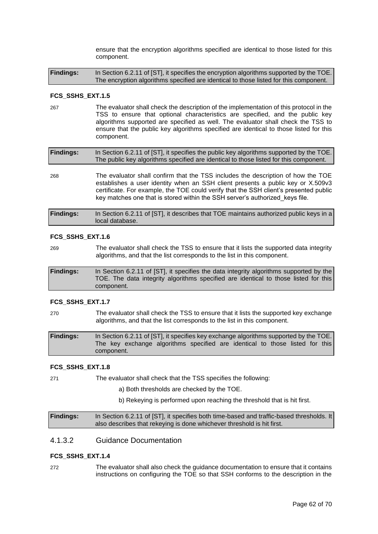ensure that the encryption algorithms specified are identical to those listed for this component.

**Findings:** In Section 6.2.11 of [ST], it specifies the encryption algorithms supported by the TOE. The encryption algorithms specified are identical to those listed for this component.

#### **FCS\_SSHS\_EXT.1.5**

267 The evaluator shall check the description of the implementation of this protocol in the TSS to ensure that optional characteristics are specified, and the public key algorithms supported are specified as well. The evaluator shall check the TSS to ensure that the public key algorithms specified are identical to those listed for this component.

| <b>Findings:</b> | In Section 6.2.11 of [ST], it specifies the public key algorithms supported by the TOE. |
|------------------|-----------------------------------------------------------------------------------------|
|                  | The public key algorithms specified are identical to those listed for this component.   |

268 The evaluator shall confirm that the TSS includes the description of how the TOE establishes a user identity when an SSH client presents a public key or X.509v3 certificate. For example, the TOE could verify that the SSH client's presented public key matches one that is stored within the SSH server's authorized\_keys file.

| <b>Findings:</b> | In Section 6.2.11 of [ST], it describes that TOE maintains authorized public keys in a |
|------------------|----------------------------------------------------------------------------------------|
|                  | local database.                                                                        |

#### **FCS\_SSHS\_EXT.1.6**

269 The evaluator shall check the TSS to ensure that it lists the supported data integrity algorithms, and that the list corresponds to the list in this component.

| <b>Findings:</b> | In Section 6.2.11 of [ST], it specifies the data integrity algorithms supported by the |
|------------------|----------------------------------------------------------------------------------------|
|                  | TOE. The data integrity algorithms specified are identical to those listed for this    |
|                  | component.                                                                             |

#### **FCS\_SSHS\_EXT.1.7**

270 The evaluator shall check the TSS to ensure that it lists the supported key exchange algorithms, and that the list corresponds to the list in this component.

**Findings:** In Section 6.2.11 of [ST], it specifies key exchange algorithms supported by the TOE. The key exchange algorithms specified are identical to those listed for this component.

#### **FCS\_SSHS\_EXT.1.8**

271 The evaluator shall check that the TSS specifies the following:

- a) Both thresholds are checked by the TOE.
- b) Rekeying is performed upon reaching the threshold that is hit first.

**Findings:** In Section 6.2.11 of [ST], it specifies both time-based and traffic-based thresholds. It also describes that rekeying is done whichever threshold is hit first.

## 4.1.3.2 Guidance Documentation

#### **FCS\_SSHS\_EXT.1.4**

272 The evaluator shall also check the guidance documentation to ensure that it contains instructions on configuring the TOE so that SSH conforms to the description in the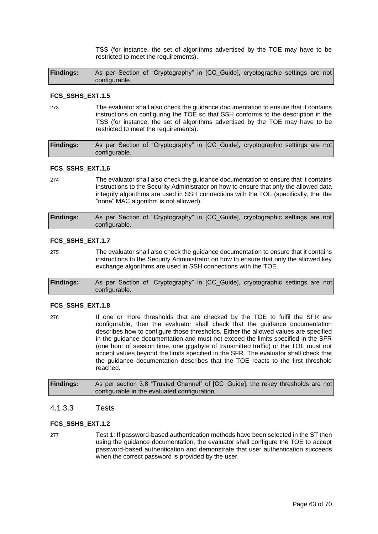TSS (for instance, the set of algorithms advertised by the TOE may have to be restricted to meet the requirements).

**Findings:** As per Section of "Cryptography" in [CC\_Guide], cryptographic settings are not configurable.

#### **FCS\_SSHS\_EXT.1.5**

273 The evaluator shall also check the guidance documentation to ensure that it contains instructions on configuring the TOE so that SSH conforms to the description in the TSS (for instance, the set of algorithms advertised by the TOE may have to be restricted to meet the requirements).

| <b>Findings:</b> | As per Section of "Cryptography" in [CC_Guide], cryptographic settings are not |  |  |  |  |
|------------------|--------------------------------------------------------------------------------|--|--|--|--|
|                  | configurable.                                                                  |  |  |  |  |

#### **FCS\_SSHS\_EXT.1.6**

274 The evaluator shall also check the guidance documentation to ensure that it contains instructions to the Security Administrator on how to ensure that only the allowed data integrity algorithms are used in SSH connections with the TOE (specifically, that the "none" MAC algorithm is not allowed).

| <b>Findings:</b> | As per Section of "Cryptography" in [CC_Guide], cryptographic settings are not |
|------------------|--------------------------------------------------------------------------------|
|                  | configurable.                                                                  |

#### **FCS\_SSHS\_EXT.1.7**

275 The evaluator shall also check the guidance documentation to ensure that it contains instructions to the Security Administrator on how to ensure that only the allowed key exchange algorithms are used in SSH connections with the TOE.

| <b>Findings:</b> | As per Section of "Cryptography" in [CC_Guide], cryptographic settings are not |  |  |  |  |  |
|------------------|--------------------------------------------------------------------------------|--|--|--|--|--|
|                  | configurable.                                                                  |  |  |  |  |  |

#### **FCS\_SSHS\_EXT.1.8**

276 If one or more thresholds that are checked by the TOE to fulfil the SFR are configurable, then the evaluator shall check that the guidance documentation describes how to configure those thresholds. Either the allowed values are specified in the guidance documentation and must not exceed the limits specified in the SFR (one hour of session time, one gigabyte of transmitted traffic) or the TOE must not accept values beyond the limits specified in the SFR. The evaluator shall check that the guidance documentation describes that the TOE reacts to the first threshold reached.

**Findings:** As per section 3.8 "Trusted Channel" of [CC\_Guide], the rekey thresholds are not configurable in the evaluated configuration.

#### 4.1.3.3 Tests

#### **FCS\_SSHS\_EXT.1.2**

277 Test 1: If password-based authentication methods have been selected in the ST then using the guidance documentation, the evaluator shall configure the TOE to accept password-based authentication and demonstrate that user authentication succeeds when the correct password is provided by the user.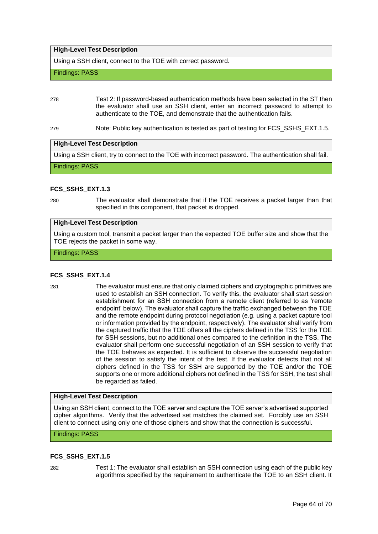#### **High-Level Test Description**

Using a SSH client, connect to the TOE with correct password.

Findings: PASS

278 Test 2: If password-based authentication methods have been selected in the ST then the evaluator shall use an SSH client, enter an incorrect password to attempt to authenticate to the TOE, and demonstrate that the authentication fails.

279 Note: Public key authentication is tested as part of testing for FCS\_SSHS\_EXT.1.5.

#### **High-Level Test Description**

Using a SSH client, try to connect to the TOE with incorrect password. The authentication shall fail.

Findings: PASS

#### **FCS\_SSHS\_EXT.1.3**

280 The evaluator shall demonstrate that if the TOE receives a packet larger than that specified in this component, that packet is dropped.

#### **High-Level Test Description**

Using a custom tool, transmit a packet larger than the expected TOE buffer size and show that the TOE rejects the packet in some way.

#### Findings: PASS

#### **FCS\_SSHS\_EXT.1.4**

281 The evaluator must ensure that only claimed ciphers and cryptographic primitives are used to establish an SSH connection. To verify this, the evaluator shall start session establishment for an SSH connection from a remote client (referred to as 'remote endpoint' below). The evaluator shall capture the traffic exchanged between the TOE and the remote endpoint during protocol negotiation (e.g. using a packet capture tool or information provided by the endpoint, respectively). The evaluator shall verify from the captured traffic that the TOE offers all the ciphers defined in the TSS for the TOE for SSH sessions, but no additional ones compared to the definition in the TSS. The evaluator shall perform one successful negotiation of an SSH session to verify that the TOE behaves as expected. It is sufficient to observe the successful negotiation of the session to satisfy the intent of the test. If the evaluator detects that not all ciphers defined in the TSS for SSH are supported by the TOE and/or the TOE supports one or more additional ciphers not defined in the TSS for SSH, the test shall be regarded as failed.

#### **High-Level Test Description**

Using an SSH client, connect to the TOE server and capture the TOE server's advertised supported cipher algorithms. Verify that the advertised set matches the claimed set. Forcibly use an SSH client to connect using only one of those ciphers and show that the connection is successful.

### Findings: PASS

#### **FCS\_SSHS\_EXT.1.5**

282 Test 1: The evaluator shall establish an SSH connection using each of the public key algorithms specified by the requirement to authenticate the TOE to an SSH client. It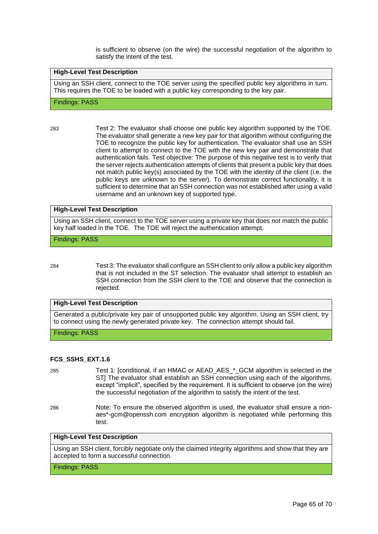is sufficient to observe (on the wire) the successful negotiation of the algorithm to satisfy the intent of the test.

#### **High-Level Test Description**

Using an SSH client, connect to the TOE server using the specified public key algorithms in turn. This requires the TOE to be loaded with a public key corresponding to the key pair.

#### Findings: PASS

283 Test 2: The evaluator shall choose one public key algorithm supported by the TOE. The evaluator shall generate a new key pair for that algorithm without configuring the TOE to recognize the public key for authentication. The evaluator shall use an SSH client to attempt to connect to the TOE with the new key pair and demonstrate that authentication fails. Test objective: The purpose of this negative test is to verify that the server rejects authentication attempts of clients that present a public key that does not match public key(s) associated by the TOE with the identity of the client (i.e. the public keys are unknown to the server). To demonstrate correct functionality, it is sufficient to determine that an SSH connection was not established after using a valid username and an unknown key of supported type.

#### **High-Level Test Description**

Using an SSH client, connect to the TOE server using a private key that does not match the public key half loaded in the TOE. The TOE will reject the authentication attempt.

Findings: PASS

284 Test 3: The evaluator shall configure an SSH client to only allow a public key algorithm that is not included in the ST selection. The evaluator shall attempt to establish an SSH connection from the SSH client to the TOE and observe that the connection is rejected.

#### **High-Level Test Description**

Generated a public/private key pair of unsupported public key algorithm. Using an SSH client, try to connect using the newly generated private key. The connection attempt should fail.

Findings: PASS

#### **FCS\_SSHS\_EXT.1.6**

- 
- 285 Test 1: [conditional, if an HMAC or AEAD\_AES\_\*\_GCM algorithm is selected in the ST] The evaluator shall establish an SSH connection using each of the algorithms, except "implicit", specified by the requirement. It is sufficient to observe (on the wire) the successful negotiation of the algorithm to satisfy the intent of the test.
- 286 Note: To ensure the observed algorithm is used, the evaluator shall ensure a nonaes\*-gcm@openssh.com encryption algorithm is negotiated while performing this test.

#### **High-Level Test Description**

Using an SSH client, forcibly negotiate only the claimed integrity algorithms and show that they are accepted to form a successful connection.

Findings: PASS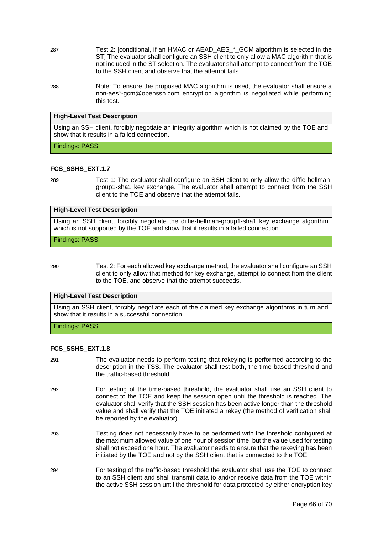- 287 Test 2: [conditional, if an HMAC or AEAD\_AES\_\*\_GCM algorithm is selected in the ST] The evaluator shall configure an SSH client to only allow a MAC algorithm that is not included in the ST selection. The evaluator shall attempt to connect from the TOE to the SSH client and observe that the attempt fails.
- 288 Note: To ensure the proposed MAC algorithm is used, the evaluator shall ensure a non-aes\*-gcm@openssh.com encryption algorithm is negotiated while performing this test.

#### **High-Level Test Description**

Using an SSH client, forcibly negotiate an integrity algorithm which is not claimed by the TOE and show that it results in a failed connection.

Findings: PASS

#### **FCS\_SSHS\_EXT.1.7**

289 Test 1: The evaluator shall configure an SSH client to only allow the diffie-hellmangroup1-sha1 key exchange. The evaluator shall attempt to connect from the SSH client to the TOE and observe that the attempt fails.

#### **High-Level Test Description**

Using an SSH client, forcibly negotiate the diffie-hellman-group1-sha1 key exchange algorithm which is not supported by the TOE and show that it results in a failed connection.

Findings: PASS

290 Test 2: For each allowed key exchange method, the evaluator shall configure an SSH client to only allow that method for key exchange, attempt to connect from the client to the TOE, and observe that the attempt succeeds.

#### **High-Level Test Description**

Using an SSH client, forcibly negotiate each of the claimed key exchange algorithms in turn and show that it results in a successful connection.

Findings: PASS

#### **FCS\_SSHS\_EXT.1.8**

- 291 The evaluator needs to perform testing that rekeying is performed according to the description in the TSS. The evaluator shall test both, the time-based threshold and the traffic-based threshold.
- 292 For testing of the time-based threshold, the evaluator shall use an SSH client to connect to the TOE and keep the session open until the threshold is reached. The evaluator shall verify that the SSH session has been active longer than the threshold value and shall verify that the TOE initiated a rekey (the method of verification shall be reported by the evaluator).
- 293 Testing does not necessarily have to be performed with the threshold configured at the maximum allowed value of one hour of session time, but the value used for testing shall not exceed one hour. The evaluator needs to ensure that the rekeying has been initiated by the TOE and not by the SSH client that is connected to the TOE.
- 294 For testing of the traffic-based threshold the evaluator shall use the TOE to connect to an SSH client and shall transmit data to and/or receive data from the TOE within the active SSH session until the threshold for data protected by either encryption key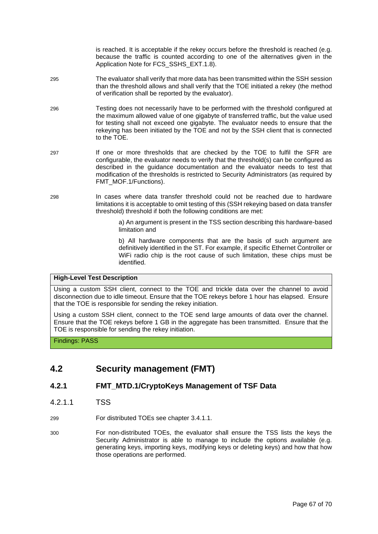is reached. It is acceptable if the rekey occurs before the threshold is reached (e.g. because the traffic is counted according to one of the alternatives given in the Application Note for FCS\_SSHS\_EXT.1.8).

- 295 The evaluator shall verify that more data has been transmitted within the SSH session than the threshold allows and shall verify that the TOE initiated a rekey (the method of verification shall be reported by the evaluator).
- 296 Testing does not necessarily have to be performed with the threshold configured at the maximum allowed value of one gigabyte of transferred traffic, but the value used for testing shall not exceed one gigabyte. The evaluator needs to ensure that the rekeying has been initiated by the TOE and not by the SSH client that is connected to the TOE.
- 297 If one or more thresholds that are checked by the TOE to fulfil the SFR are configurable, the evaluator needs to verify that the threshold(s) can be configured as described in the guidance documentation and the evaluator needs to test that modification of the thresholds is restricted to Security Administrators (as required by FMT\_MOF.1/Functions).
- 298 In cases where data transfer threshold could not be reached due to hardware limitations it is acceptable to omit testing of this (SSH rekeying based on data transfer threshold) threshold if both the following conditions are met:
	- a) An argument is present in the TSS section describing this hardware-based limitation and

b) All hardware components that are the basis of such argument are definitively identified in the ST. For example, if specific Ethernet Controller or WiFi radio chip is the root cause of such limitation, these chips must be identified.

#### **High-Level Test Description**

Using a custom SSH client, connect to the TOE and trickle data over the channel to avoid disconnection due to idle timeout. Ensure that the TOE rekeys before 1 hour has elapsed. Ensure that the TOE is responsible for sending the rekey initiation.

Using a custom SSH client, connect to the TOE send large amounts of data over the channel. Ensure that the TOE rekeys before 1 GB in the aggregate has been transmitted. Ensure that the TOE is responsible for sending the rekey initiation.

#### <span id="page-66-0"></span>Findings: PASS

## **4.2 Security management (FMT)**

## **4.2.1 FMT\_MTD.1/CryptoKeys Management of TSF Data**

4.2.1.1 TSS

299 For distributed TOEs see chapter 3.4.1.1.

300 For non-distributed TOEs, the evaluator shall ensure the TSS lists the keys the Security Administrator is able to manage to include the options available (e.g. generating keys, importing keys, modifying keys or deleting keys) and how that how those operations are performed.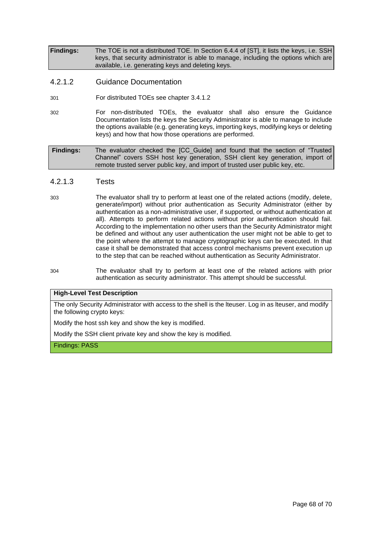**Findings:** The TOE is not a distributed TOE. In Section 6.4.4 of [ST], it lists the keys, i.e. SSH keys, that security administrator is able to manage, including the options which are available, i.e. generating keys and deleting keys.

## 4.2.1.2 Guidance Documentation

- 301 For distributed TOEs see chapter 3.4.1.2
- 302 For non-distributed TOEs, the evaluator shall also ensure the Guidance Documentation lists the keys the Security Administrator is able to manage to include the options available (e.g. generating keys, importing keys, modifying keys or deleting keys) and how that how those operations are performed.

**Findings:** The evaluator checked the [CC\_Guide] and found that the section of "Trusted Channel" covers SSH host key generation, SSH client key generation, import of remote trusted server public key, and import of trusted user public key, etc.

#### 4.2.1.3 Tests

- 303 The evaluator shall try to perform at least one of the related actions (modify, delete, generate/import) without prior authentication as Security Administrator (either by authentication as a non-administrative user, if supported, or without authentication at all). Attempts to perform related actions without prior authentication should fail. According to the implementation no other users than the Security Administrator might be defined and without any user authentication the user might not be able to get to the point where the attempt to manage cryptographic keys can be executed. In that case it shall be demonstrated that access control mechanisms prevent execution up to the step that can be reached without authentication as Security Administrator.
- 304 The evaluator shall try to perform at least one of the related actions with prior authentication as security administrator. This attempt should be successful.

#### **High-Level Test Description**

The only Security Administrator with access to the shell is the lteuser. Log in as lteuser, and modify the following crypto keys:

Modify the host ssh key and show the key is modified.

Modify the SSH client private key and show the key is modified.

Findings: PASS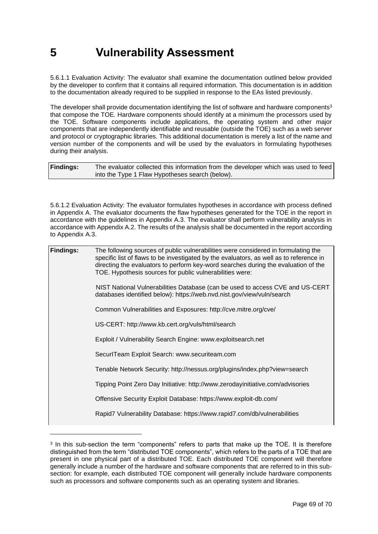## **5 Vulnerability Assessment**

5.6.1.1 Evaluation Activity: The evaluator shall examine the documentation outlined below provided by the developer to confirm that it contains all required information. This documentation is in addition to the documentation already required to be supplied in response to the EAs listed previously.

The developer shall provide documentation identifying the list of software and hardware components<sup>3</sup> that compose the TOE. Hardware components should identify at a minimum the processors used by the TOE. Software components include applications, the operating system and other major components that are independently identifiable and reusable (outside the TOE) such as a web server and protocol or cryptographic libraries. This additional documentation is merely a list of the name and version number of the components and will be used by the evaluators in formulating hypotheses during their analysis.

| <b>Findings:</b> | The evaluator collected this information from the developer which was used to feed |
|------------------|------------------------------------------------------------------------------------|
|                  | into the Type 1 Flaw Hypotheses search (below).                                    |

5.6.1.2 Evaluation Activity: The evaluator formulates hypotheses in accordance with process defined in Appendix A. The evaluator documents the flaw hypotheses generated for the TOE in the report in accordance with the guidelines in Appendix A.3. The evaluator shall perform vulnerability analysis in accordance with Appendix A.2. The results of the analysis shall be documented in the report according to Appendix A.3.

| <b>Findings:</b> | The following sources of public vulnerabilities were considered in formulating the<br>specific list of flaws to be investigated by the evaluators, as well as to reference in<br>directing the evaluators to perform key-word searches during the evaluation of the<br>TOE. Hypothesis sources for public vulnerabilities were: |
|------------------|---------------------------------------------------------------------------------------------------------------------------------------------------------------------------------------------------------------------------------------------------------------------------------------------------------------------------------|
|                  | NIST National Vulnerabilities Database (can be used to access CVE and US-CERT<br>databases identified below): https://web.nvd.nist.gov/view/vuln/search                                                                                                                                                                         |
|                  | Common Vulnerabilities and Exposures: http://cve.mitre.org/cve/                                                                                                                                                                                                                                                                 |
|                  | US-CERT: http://www.kb.cert.org/vuls/html/search                                                                                                                                                                                                                                                                                |
|                  | Exploit / Vulnerability Search Engine: www.exploitsearch.net                                                                                                                                                                                                                                                                    |
|                  | SecurlTeam Exploit Search: www.securiteam.com                                                                                                                                                                                                                                                                                   |
|                  | Tenable Network Security: http://nessus.org/plugins/index.php?view=search                                                                                                                                                                                                                                                       |
|                  | Tipping Point Zero Day Initiative: http://www.zerodayinitiative.com/advisories                                                                                                                                                                                                                                                  |
|                  | Offensive Security Exploit Database: https://www.exploit-db.com/                                                                                                                                                                                                                                                                |
|                  | Rapid7 Vulnerability Database: https://www.rapid7.com/db/vulnerabilities                                                                                                                                                                                                                                                        |
|                  |                                                                                                                                                                                                                                                                                                                                 |

 $3$  In this sub-section the term "components" refers to parts that make up the TOE. It is therefore distinguished from the term "distributed TOE components", which refers to the parts of a TOE that are present in one physical part of a distributed TOE. Each distributed TOE component will therefore generally include a number of the hardware and software components that are referred to in this subsection: for example, each distributed TOE component will generally include hardware components such as processors and software components such as an operating system and libraries.